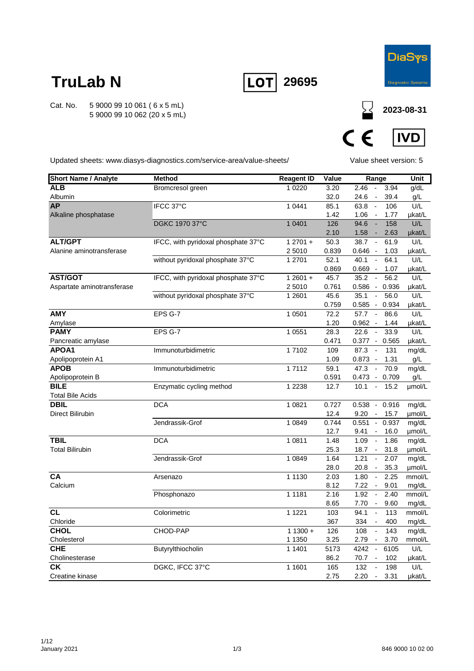

**2023-08-31**

## **TruLab N**

Cat. No. 5 9000 99 10 061 ( 6 x 5 mL) 5 9000 99 10 062 (20 x 5 mL)





Updated sheets: www.diasys-diagnostics.com/service-area/value-sheets/

Value sheet version: 5

| <b>Short Name / Analyte</b>            | <b>Method</b>                       | <b>Reagent ID</b> | Value         | Range                                     | Unit            |
|----------------------------------------|-------------------------------------|-------------------|---------------|-------------------------------------------|-----------------|
| <b>ALB</b>                             | Bromcresol green                    | 1 0 2 2 0         | 3.20          | 2.46<br>3.94<br>$\sim$                    | q/dL            |
| Albumin                                |                                     |                   | 32.0          | 24.6<br>39.4<br>$\overline{\phantom{a}}$  | g/L             |
| <b>AP</b>                              | IFCC 37°C                           | 1 0 4 4 1         | 85.1          | $\sim$<br>63.8<br>106                     | U/L             |
| Alkaline phosphatase                   |                                     |                   | 1.42          | 1.06<br>1.77<br>$\sim$                    | ukat/L          |
|                                        | <b>DGKC 1970 37°C</b>               | 1 0401            | 126           | 94.6<br>158<br>$\sim$                     | U/L             |
|                                        |                                     |                   | 2.10          | 1.58<br>2.63<br>$\sim$                    | µkat/L          |
| <b>ALT/GPT</b>                         | IFCC, with pyridoxal phosphate 37°C | $12701 +$         | 50.3          | 61.9<br>38.7<br>$\sim$                    | U/L             |
| Alanine aminotransferase               |                                     | 25010             | 0.839         | $0.646 -$<br>1.03                         | ukat/L          |
|                                        | without pyridoxal phosphate 37°C    | 1 2701            | 52.1          | 40.1<br>$\sim$<br>64.1                    | U/L             |
|                                        |                                     |                   | 0.869         | $0.669 -$<br>1.07                         | µkat/L          |
| <b>AST/GOT</b>                         | IFCC, with pyridoxal phosphate 37°C | $12601 +$         | 45.7          | 35.2<br>56.2<br>$\sim$                    | U/L             |
| Aspartate aminotransferase             |                                     | 2 5010            | 0.761         | 0.586 - 0.936                             | µkat/L          |
|                                        | without pyridoxal phosphate 37°C    | 1 2601            | 45.6          | 56.0<br>35.1<br>$\sim$                    | U/L             |
|                                        |                                     |                   | 0.759         | 0.585 - 0.934                             | µkat/L          |
| <b>AMY</b>                             | EPS G-7                             | 1 0 5 0 1         | 72.2          | 57.7<br>$\sim$<br>86.6                    | U/L             |
| Amylase                                |                                     |                   | 1.20          | $0.962 -$<br>1.44                         | µkat/L          |
| <b>PAMY</b>                            | EPS G-7                             | 1 0 5 5 1         | 28.3          | 22.6<br>$\sim$<br>33.9                    | U/L             |
| Pancreatic amylase                     |                                     |                   | 0.471         | $0.377 - 0.565$                           | µkat/L          |
| APOA1                                  | Immunoturbidimetric                 | 17102             | 109           | 87.3<br>131<br>$\sim$                     | mg/dL           |
| Apolipoprotein A1                      |                                     |                   | 1.09          | $0.873 -$<br>1.31                         | g/L             |
| <b>APOB</b>                            | Immunoturbidimetric                 | 17112             | 59.1          | 70.9<br>47.3<br>$\sim$                    | mg/dL           |
| Apolipoprotein B                       |                                     |                   | 0.591         | 0.473 -<br>0.709                          | g/L             |
| <b>BILE</b>                            | Enzymatic cycling method            | 1 2 2 3 8         | 12.7          | 15.2<br>10.1<br>$\sim$                    | µmol/L          |
| <b>Total Bile Acids</b><br><b>DBIL</b> |                                     |                   |               |                                           |                 |
|                                        | <b>DCA</b>                          | 1 0 8 2 1         | 0.727         | 0.538 - 0.916                             | mg/dL           |
| Direct Bilirubin                       | Jendrassik-Grof                     | 1 0 8 4 9         | 12.4<br>0.744 | 9.20<br>15.7<br>$\sim$<br>0.551           | umol/L<br>mg/dL |
|                                        |                                     |                   | 12.7          | 0.937<br>$\sim$<br>9.41<br>$\sim$<br>16.0 | umol/L          |
| <b>TBIL</b>                            | <b>DCA</b>                          | 1 0811            | 1.48          | 1.09<br>1.86<br>$\sim$                    | mg/dL           |
| <b>Total Bilirubin</b>                 |                                     |                   | 25.3          | 18.7<br>31.8                              | µmol/L          |
|                                        | Jendrassik-Grof                     | 1 0 8 4 9         | 1.64          | 1.21<br>$\sim$<br>2.07                    | mg/dL           |
|                                        |                                     |                   | 28.0          | 20.8<br>35.3<br>$\overline{a}$            | umol/L          |
| <b>CA</b>                              | Arsenazo                            | 1 1 1 3 0         | 2.03          | 1.80<br>$\overline{\phantom{a}}$<br>2.25  | mmol/L          |
| Calcium                                |                                     |                   | 8.12          | 7.22<br>9.01<br>$\sim$                    | mg/dL           |
|                                        | Phosphonazo                         | 1 1 1 8 1         | 2.16          | 1.92<br>2.40<br>$\sim$                    | mmol/L          |
|                                        |                                     |                   | 8.65          | 7.70<br>$\sim$<br>9.60                    | mg/dL           |
| <b>CL</b>                              | Colorimetric                        | 1 1 2 2 1         | 103           | 94.1<br>113<br>$\overline{\phantom{a}}$   | mmol/L          |
| Chloride                               |                                     |                   | 367           | 334<br>400                                | mg/dL           |
| <b>CHOL</b>                            | CHOD-PAP                            | $11300 +$         | 126           | 108<br>$\overline{\phantom{a}}$<br>143    | mg/dL           |
| Cholesterol                            |                                     | 1 1350            | 3.25          | 2.79<br>3.70<br>$\sim$                    | mmol/L          |
| <b>CHE</b>                             | Butyrylthiocholin                   | 1 1401            | 5173          | 4242<br>6105<br>$\sim$                    | U/L             |
| Cholinesterase                         |                                     |                   | 86.2          | 70.7<br>$\sim$<br>102                     | µkat/L          |
| <b>CK</b>                              | DGKC, IFCC 37°C                     | 1 1601            | 165           | 132<br>198                                | U/L             |
| Creatine kinase                        |                                     |                   | 2.75          | 2.20<br>3.31<br>$\blacksquare$            | µkat/L          |
|                                        |                                     |                   |               |                                           |                 |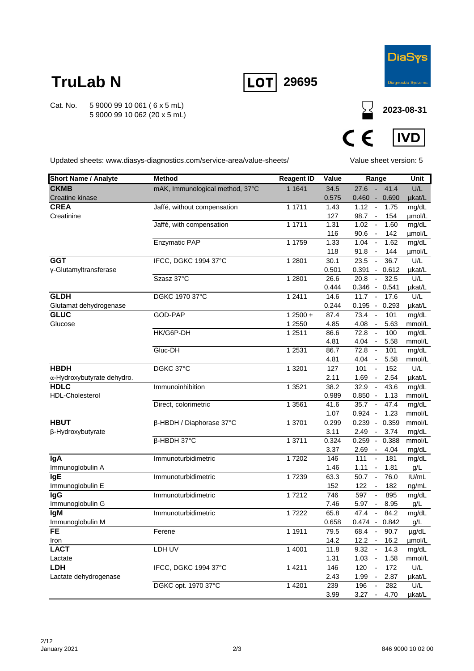



**2023-08-31**

**DiaSys** 

 $C \in$ **IVD** 

Updated sheets: www.diasys-diagnostics.com/service-area/value-sheets/

Value sheet version: 5

| <b>Short Name / Analyte</b>    | <b>Method</b>                   | <b>Reagent ID</b>   | Value        | Range                                                      |              | Unit            |
|--------------------------------|---------------------------------|---------------------|--------------|------------------------------------------------------------|--------------|-----------------|
| <b>CKMB</b>                    | mAK, Immunological method, 37°C | 1 1 6 4 1           | 34.5         | 27.6<br>$\sim$                                             | 41.4         | U/L             |
| Creatine kinase                |                                 |                     | 0.575        | 0.460                                                      | $-0.690$     | µkat/L          |
| <b>CREA</b>                    | Jaffé, without compensation     | 1 1711              | 1.43         | 1.12<br>$\sim$                                             | 1.75         | mg/dL           |
| Creatinine                     |                                 |                     | 127          | 98.7<br>$\sim$                                             | 154          | µmol/L          |
|                                | Jaffé, with compensation        | 1 1711              | 1.31         | 1.02<br>$\overline{\phantom{a}}$                           | 1.60         | mg/dL           |
|                                |                                 |                     | 116          | 90.6<br>$\overline{\phantom{a}}$                           | 142          | µmol/L          |
|                                | <b>Enzymatic PAP</b>            | 1 1759              | 1.33<br>118  | 1.04<br>$\sim$<br>91.8<br>$\overline{\phantom{a}}$         | 1.62<br>144  | mg/dL<br>µmol/L |
| <b>GGT</b>                     | IFCC, DGKC 1994 37°C            | 1 2 8 0 1           | 30.1         | 23.5<br>$\sim$                                             | 36.7         | U/L             |
| y-Glutamyltransferase          |                                 |                     | 0.501        | 0.391<br>$\sim$                                            | 0.612        | µkat/L          |
|                                | Szasz 37°C                      | 1 2 8 0 1           | 26.6         | 20.8<br>$\blacksquare$                                     | 32.5         | U/L             |
|                                |                                 |                     | 0.444        | $0.346 -$                                                  | 0.541        | µkat/L          |
| <b>GLDH</b>                    | DGKC 1970 37°C                  | 1 2411              | 14.6         | 11.7<br>$\overline{\phantom{a}}$                           | 17.6         | U/L             |
| Glutamat dehydrogenase         |                                 |                     | 0.244        | $0.195 -$                                                  | 0.293        | µkat/L          |
| <b>GLUC</b>                    | GOD-PAP                         | $12500 +$           | 87.4         | 73.4<br>$\overline{\phantom{a}}$                           | 101          | mg/dL           |
| Glucose                        |                                 | 1 2550              | 4.85         | 4.08<br>$\overline{\phantom{a}}$                           | 5.63         | mmol/L          |
|                                | HK/G6P-DH                       | 1 2511              | 86.6         | 72.8<br>$\overline{\phantom{a}}$                           | 100          | mg/dL           |
|                                |                                 |                     | 4.81         | 4.04<br>$\overline{\phantom{a}}$                           | 5.58         | mmol/L          |
|                                | Gluc-DH                         | 1 2531              | 86.7         | 72.8<br>$\overline{\phantom{a}}$                           | 101          | mg/dL           |
| <b>HBDH</b>                    | DGKC 37°C                       | 1 3 2 0 1           | 4.81<br>127  | 4.04<br>$\overline{\phantom{a}}$<br>101<br>$\blacksquare$  | 5.58<br>152  | mmol/L<br>U/L   |
| α-Hydroxybutyrate dehydro.     |                                 |                     | 2.11         | 1.69<br>$\overline{\phantom{a}}$                           | 2.54         | µkat/L          |
| <b>HDLC</b>                    | Immunoinhibition                | 1 3 5 2 1           | 38.2         | 32.9<br>$\overline{\phantom{a}}$                           | 43.6         | mg/dL           |
| HDL-Cholesterol                |                                 |                     | 0.989        | 0.850<br>$\sim$                                            | 1.13         | mmol/L          |
|                                | Direct, colorimetric            | 1 3561              | 41.6         | 35.7<br>$\sim$                                             | 47.4         | mg/dL           |
|                                |                                 |                     | 1.07         | $0.924 -$                                                  | 1.23         | mmol/L          |
| <b>HBUT</b>                    | β-HBDH / Diaphorase 37°C        | 1 3701              | 0.299        | $0.239 -$                                                  | 0.359        | mmol/L          |
| β-Hydroxybutyrate              |                                 |                     | 3.11         | 2.49<br>$\overline{\phantom{a}}$                           | 3.74         | mg/dL           |
|                                | β-HBDH 37°C                     | 1 3711              | 0.324        | 0.259<br>$\overline{\phantom{a}}$                          | 0.388        | mmol/L          |
|                                |                                 |                     | 3.37         | 2.69<br>$\mathcal{L}$                                      | 4.04         | mg/dL           |
| lgA                            | Immunoturbidimetric             | 17202               | 146          | 111<br>$\overline{\phantom{a}}$                            | 181          | mg/dL           |
| Immunoglobulin A<br><b>IgE</b> | Immunoturbidimetric             | 17239               | 1.46<br>63.3 | 1.11<br>$\overline{\phantom{a}}$<br>50.7<br>$\blacksquare$ | 1.81<br>76.0 | g/L<br>IU/mL    |
| Immunoglobulin E               |                                 |                     | 152          | 122<br>$\overline{\phantom{a}}$                            | 182          | ng/mL           |
| <b>IgG</b>                     | Immunoturbidimetric             | 17212               | 746          | $\overline{\phantom{a}}$<br>597                            | 895          | mg/dL           |
| Immunoglobulin G               |                                 |                     | 7.46         | 5.97<br>$\sim$                                             | 8.95         | g/L             |
| <b>IgM</b>                     | Immunoturbidimetric             | 17222               | 65.8         | 47.4<br>$\overline{\phantom{a}}$                           | 84.2         | mg/dL           |
| Immunoglobulin M               |                                 |                     | 0.658        | $0.474 - 0.842$                                            |              | g/L             |
| FE                             | Ferene                          | 1 1911              | 79.5         | 68.4<br>$\overline{\phantom{a}}$                           | 90.7         | µg/dL           |
| Iron                           |                                 |                     | 14.2         | 12.2<br>$\sim$                                             | 16.2         | µmol/L          |
| <b>LACT</b>                    | LDH UV                          | $\overline{1}$ 4001 | 11.8         | 9.32<br>$\sim$                                             | 14.3         | mg/dL           |
| Lactate                        |                                 |                     | 1.31         | 1.03<br>$\sim$                                             | 1.58         | mmol/L          |
| <b>LDH</b>                     | IFCC, DGKC 1994 37°C            | 1 4 2 1 1           | 146          | 120<br>$\blacksquare$                                      | 172          | U/L             |
| Lactate dehydrogenase          |                                 |                     | 2.43         | 1.99<br>$\overline{\phantom{a}}$                           | 2.87         | µkat/L          |
|                                | DGKC opt. 1970 37°C             | 1 4 2 0 1           | 239          | 196<br>$\Box$                                              | 282          | U/L             |
|                                |                                 |                     | 3.99         | 3.27<br>$\overline{\phantom{a}}$                           | 4.70         | µkat/L          |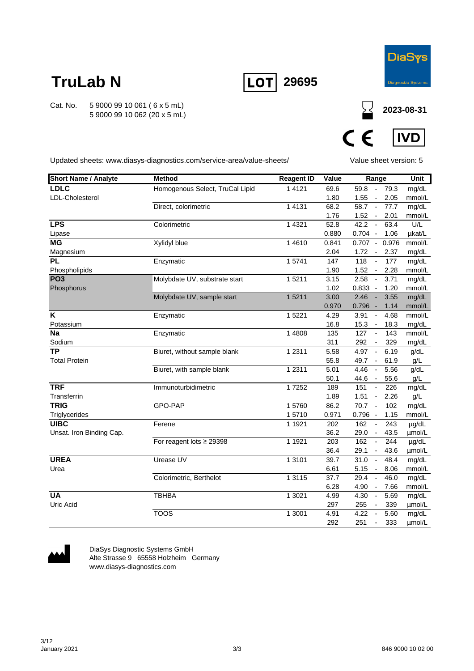

**2023-08-31**

## **TruLab N**

Cat. No. 5 9000 99 10 061 ( 6 x 5 mL) 5 9000 99 10 062 (20 x 5 mL)





Updated sheets: www.diasys-diagnostics.com/service-area/value-sheets/

Value sheet version: 5

| <b>Short Name / Analyte</b> | <b>Method</b>                   | <b>Reagent ID</b> | Value | Range                                    | <b>Unit</b> |
|-----------------------------|---------------------------------|-------------------|-------|------------------------------------------|-------------|
| <b>LDLC</b>                 | Homogenous Select, TruCal Lipid | 1 4 1 2 1         | 69.6  | 59.8<br>$\sim$<br>79.3                   | mg/dL       |
| LDL-Cholesterol             |                                 |                   | 1.80  | 2.05<br>1.55<br>$\sim$                   | mmol/L      |
|                             | Direct, colorimetric            | 1 4 1 3 1         | 68.2  | 58.7<br>77.7<br>$\sim$                   | mg/dL       |
|                             |                                 |                   | 1.76  | 1.52<br>2.01<br>$\sim$                   | mmol/L      |
| <b>LPS</b>                  | Colorimetric                    | 1 4 3 2 1         | 52.8  | 42.2<br>63.4<br>$\overline{\phantom{a}}$ | U/L         |
| Lipase                      |                                 |                   | 0.880 | $0.704 -$<br>1.06                        | µkat/L      |
| <b>MG</b>                   | Xylidyl blue                    | 1 4 6 1 0         | 0.841 | $0.707 - 0.976$                          | mmol/L      |
| Magnesium                   |                                 |                   | 2.04  | 1.72<br>2.37<br>$\sim$                   | mg/dL       |
| PL                          | Enzymatic                       | 1 5741            | 147   | 118<br>177<br>$\overline{\phantom{a}}$   | mg/dL       |
| Phospholipids               |                                 |                   | 1.90  | 1.52<br>2.28<br>$\overline{\phantom{a}}$ | mmol/L      |
| PO <sub>3</sub>             | Molybdate UV, substrate start   | 15211             | 3.15  | 2.58<br>$\sim$<br>3.71                   | mg/dL       |
| Phosphorus                  |                                 |                   | 1.02  | $0.833 -$<br>1.20                        | mmol/L      |
|                             | Molybdate UV, sample start      | 15211             | 3.00  | 2.46<br>3.55<br>$\sim$                   | mg/dL       |
|                             |                                 |                   | 0.970 | $0.796 -$<br>1.14                        | mmol/L      |
| K                           | Enzymatic                       | 1 5 2 2 1         | 4.29  | 3.91<br>4.68<br>$\overline{\phantom{a}}$ | mmol/L      |
| Potassium                   |                                 |                   | 16.8  | 15.3<br>18.3<br>$\overline{\phantom{a}}$ | mg/dL       |
| <b>Na</b>                   | Enzymatic                       | 1 4808            | 135   | 127<br>143<br>$\overline{\phantom{a}}$   | mmol/L      |
| Sodium                      |                                 |                   | 311   | 329<br>292                               | mg/dL       |
| $\overline{TP}$             | Biuret, without sample blank    | 1 2 3 1 1         | 5.58  | 4.97<br>6.19<br>$\sim$                   | g/dL        |
| <b>Total Protein</b>        |                                 |                   | 55.8  | 49.7<br>61.9<br>$\blacksquare$           | g/L         |
|                             | Biuret, with sample blank       | 1 2 3 1 1         | 5.01  | 4.46<br>$\mathbb{L}$<br>5.56             | g/dL        |
|                             |                                 |                   | 50.1  | 44.6<br>55.6<br>$\sim$                   | g/L         |
| <b>TRF</b>                  | Immunoturbidimetric             | 17252             | 189   | 151<br>226<br>$\Box$                     | mg/dL       |
| Transferrin                 |                                 |                   | 1.89  | 1.51<br>2.26<br>$\sim$                   | g/L         |
| <b>TRIG</b>                 | GPO-PAP                         | 15760             | 86.2  | $70.7 -$<br>102                          | mg/dL       |
| Triglycerides               |                                 | 15710             | 0.971 | $0.796 -$<br>1.15                        | mmol/L      |
| <b>UIBC</b>                 | Ferene                          | 1 1921            | 202   | 162<br>243<br>$\overline{\phantom{a}}$   | µg/dL       |
| Unsat. Iron Binding Cap.    |                                 |                   | 36.2  | 43.5<br>29.0<br>$\overline{\phantom{a}}$ | µmol/L      |
|                             | For reagent lots $\geq$ 29398   | 1 1921            | 203   | 162<br>244                               | µg/dL       |
|                             |                                 |                   | 36.4  | 29.1<br>43.6<br>$\blacksquare$           | µmol/L      |
| <b>UREA</b>                 | Urease UV                       | 1 3 1 0 1         | 39.7  | 31.0<br>$\sim$<br>48.4                   | mg/dL       |
| Urea                        |                                 |                   | 6.61  | 5.15<br>8.06<br>$\sim$                   | mmol/L      |
|                             | Colorimetric, Berthelot         | 1 3 1 1 5         | 37.7  | 29.4<br>$\mathbf{r}$<br>46.0             | mg/dL       |
|                             |                                 |                   | 6.28  | 4.90<br>7.66<br>$\overline{\phantom{a}}$ | mmol/L      |
| <b>UA</b>                   | <b>TBHBA</b>                    | 1 3021            | 4.99  | 4.30<br>5.69<br>$\overline{\phantom{a}}$ | mg/dL       |
| <b>Uric Acid</b>            |                                 |                   | 297   | 255<br>339<br>$\blacksquare$             | µmol/L      |
|                             | <b>TOOS</b>                     | 1 3001            | 4.91  | 4.22<br>5.60<br>$\overline{\phantom{a}}$ | mg/dL       |
|                             |                                 |                   | 292   | 251<br>333<br>$\overline{\phantom{a}}$   | µmol/L      |



DiaSys Diagnostic Systems GmbH Alte Strasse 9 65558 Holzheim Germany www.diasys-diagnostics.com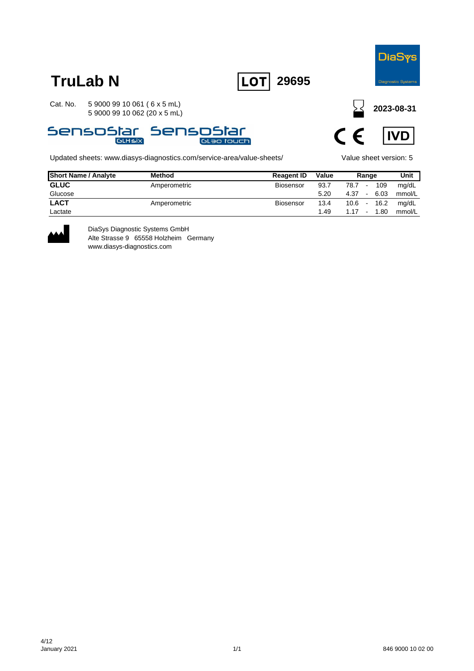





Updated sheets: www.diasys-diagnostics.com/service-area/value-sheets/ Value sheet version: 5

**2023-08-31**



| <b>Short Name / Analyte</b> | <b>Method</b> | <b>Reagent ID</b> | Value | Range    |                | Unit   |
|-----------------------------|---------------|-------------------|-------|----------|----------------|--------|
| <b>GLUC</b>                 | Amperometric  | <b>Biosensor</b>  | 93.7  | 78.7     | 109<br>$\sim$  | mg/dL  |
| Glucose                     |               |                   | 5.20  | 4.37     | 6.03<br>$\sim$ | mmol/L |
| <b>LACT</b>                 | Amperometric  | <b>Biosensor</b>  | 13.4  | $10.6 -$ | 16.2           | mg/dL  |
| Lactate                     |               |                   | 1.49  | $1.17 -$ | 1.80           | mmol/L |



DiaSys Diagnostic Systems GmbH Alte Strasse 9 65558 Holzheim Germany www.diasys-diagnostics.com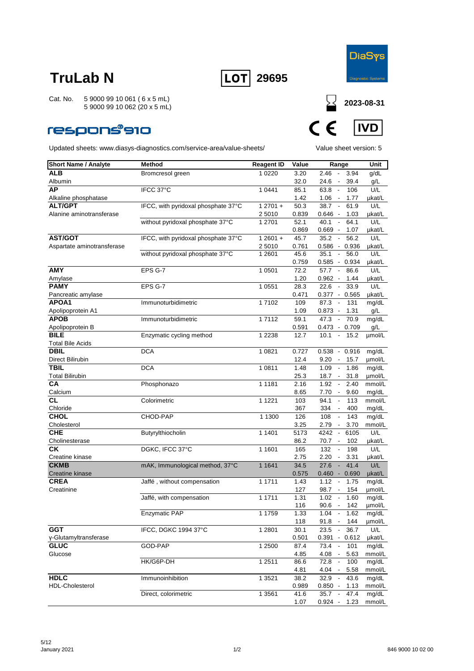



Cat. No. 5 9000 99 10 061 ( 6 x 5 mL) 5 9000 99 10 062 (20 x 5 mL)

### **respons®910**



| <b>Short Name / Analyte</b> | <b>Method</b>                       | <b>Reagent ID</b> | Value | Range                                       | Unit   |
|-----------------------------|-------------------------------------|-------------------|-------|---------------------------------------------|--------|
| <b>ALB</b>                  | Bromcresol green                    | 1 0 2 2 0         | 3.20  | $2.46 -$<br>3.94                            | g/dL   |
| Albumin                     |                                     |                   | 32.0  | 39.4<br>24.6 -                              | g/L    |
| AP                          | IFCC 37°C                           | 1 0 4 4 1         | 85.1  | 106<br>63.8<br>$\sim$                       | U/L    |
| Alkaline phosphatase        |                                     |                   | 1.42  | 1.06<br>$\sim$<br>1.77                      | µkat/L |
| <b>ALT/GPT</b>              | IFCC, with pyridoxal phosphate 37°C | $12701 +$         | 50.3  | 38.7<br>$\sim$<br>61.9                      | U/L    |
| Alanine aminotransferase    |                                     | 2 5010            | 0.839 | 0.646 -<br>1.03                             | µkat/L |
|                             | without pyridoxal phosphate 37°C    | 1 2701            | 52.1  | 40.1<br>$\blacksquare$<br>64.1              | U/L    |
|                             |                                     |                   | 0.869 | $0.669 -$<br>1.07                           | µkat/L |
| <b>AST/GOT</b>              | IFCC, with pyridoxal phosphate 37°C | $12601 +$         | 45.7  | 35.2<br>56.2<br>$\overline{\phantom{a}}$    | U/L    |
| Aspartate aminotransferase  |                                     | 2 5010            | 0.761 | $0.586 -$<br>0.936                          | µkat/L |
|                             | without pyridoxal phosphate 37°C    | 1 2601            | 45.6  | 56.0<br>35.1<br>$\sim$                      | U/L    |
|                             |                                     |                   | 0.759 | 0.585 - 0.934                               | µkat/L |
| <b>AMY</b>                  | EPS G-7                             | 1 0 5 0 1         | 72.2  | 86.6<br>57.7<br>$\sim$                      | U/L    |
| Amylase                     |                                     |                   | 1.20  | $0.962 -$<br>1.44                           | µkat/L |
| <b>PAMY</b>                 | EPS G-7                             | 1 0 5 5 1         | 28.3  | 33.9<br>22.6<br>$\overline{\phantom{a}}$    | U/L    |
| Pancreatic amylase          |                                     |                   | 0.471 | $0.377 - 0.565$                             | µkat/L |
| APOA1                       | Immunoturbidimetric                 | 17102             | 109   | 87.3<br>$\sim$<br>131                       | mg/dL  |
| Apolipoprotein A1           |                                     |                   | 1.09  | $0.873 - 1.31$                              | g/L    |
| <b>APOB</b>                 | Immunoturbidimetric                 | 17112             | 59.1  | 47.3<br>70.9<br>$\sim$                      | mg/dL  |
| Apolipoprotein B            |                                     |                   | 0.591 | $0.473 - 0.709$                             | g/L    |
| <b>BILE</b>                 | Enzymatic cycling method            | 1 2 2 3 8         | 12.7  | 10.1<br>$\sim$<br>15.2                      | µmol/L |
| <b>Total Bile Acids</b>     |                                     |                   |       |                                             |        |
| <b>DBIL</b>                 | <b>DCA</b>                          | 1 0 8 2 1         | 0.727 | $0.538 - 0.916$                             | mg/dL  |
| Direct Bilirubin            |                                     |                   | 12.4  | 9.20<br>15.7<br>$\sim$                      | umol/L |
| TBIL                        | <b>DCA</b>                          | 1 0811            | 1.48  | 1.09<br>1.86<br>$\overline{\phantom{a}}$    | mg/dL  |
| <b>Total Bilirubin</b>      |                                     |                   | 25.3  | 18.7 -<br>31.8                              | µmol/L |
| CA                          | Phosphonazo                         | 1 1 1 8 1         | 2.16  | $\sim$<br>1.92<br>2.40                      | mmol/L |
| Calcium                     |                                     |                   | 8.65  | 7.70<br>9.60<br>$\sim$                      | mg/dL  |
| СL                          | Colorimetric                        | 1 1 2 2 1         | 103   | 94.1<br>113<br>$\overline{\phantom{a}}$     | mmol/L |
| Chloride                    |                                     |                   | 367   | 400<br>334                                  | mg/dL  |
| <b>CHOL</b>                 | CHOD-PAP                            | 1 1300            | 126   | 108<br>$\blacksquare$<br>143                | mg/dL  |
| Cholesterol                 |                                     |                   | 3.25  | 2.79<br>3.70<br>$\sim$                      | mmol/L |
| <b>CHE</b>                  | Butyrylthiocholin                   | 1 1401            | 5173  | 4242<br>$\blacksquare$<br>6105              | U/L    |
| Cholinesterase              |                                     |                   | 86.2  | 70.7 -<br>102                               | µkat/L |
| СK                          | DGKC, IFCC 37°C                     | 1 1 6 0 1         | 165   | 198<br>132<br>$\overline{\phantom{a}}$      | U/L    |
| Creatine kinase             |                                     |                   | 2.75  | 2.20<br>3.31<br>$\overline{\phantom{a}}$    | µkat/L |
| <b>CKMB</b>                 | mAK, Immunological method, 37°C     | 1 1 6 4 1         | 34.5  | 27.6<br>$\mathcal{L}_{\mathcal{A}}$<br>41.4 | U/L    |
| Creatine kinase             |                                     |                   | 0.575 | $0.460 - 0.690$                             | µkat/L |
| <b>CREA</b>                 | Jaffé, without compensation         | 1 1711            | 1.43  | 1.12<br>1.75<br>$\overline{\phantom{a}}$    | mg/dL  |
| Creatinine                  |                                     |                   | 127   | 98.7<br>$\sim$<br>154                       | µmol/L |
|                             | Jaffé, with compensation            | 1 1711            | 1.31  | 1.02<br>1.60<br>$\sim$                      | mg/dL  |
|                             |                                     |                   | 116   | 90.6<br>142<br>$\overline{\phantom{a}}$     | µmol/L |
|                             | <b>Enzymatic PAP</b>                | 1 1759            | 1.33  | 1.04<br>1.62                                | mg/dL  |
|                             |                                     |                   | 118   | 91.8 - 144                                  | µmol/L |
| <b>GGT</b>                  | IFCC, DGKC 1994 37°C                | 1 2 8 0 1         | 30.1  | 36.7<br>23.5<br>$\sim$                      | U/L    |
| y-Glutamyltransferase       |                                     |                   | 0.501 | $0.391 - 0.612$                             | µkat/L |
| <b>GLUC</b>                 | GOD-PAP                             | 1 2500            | 87.4  | 73.4 -<br>101                               | mg/dL  |
| Glucose                     |                                     |                   | 4.85  | $4.08 -$<br>5.63                            | mmol/L |
|                             | HK/G6P-DH                           | 1 2 5 1 1         | 86.6  | 72.8<br>$\blacksquare$<br>100               | mg/dL  |
|                             |                                     |                   | 4.81  | 4.04 -<br>5.58                              | mmol/L |
| <b>HDLC</b>                 | Immunoinhibition                    | 1 3 5 2 1         | 38.2  | $32.9 -$<br>43.6                            | mg/dL  |
| HDL-Cholesterol             |                                     |                   | 0.989 | $0.850 -$<br>1.13                           | mmol/L |
|                             | Direct, colorimetric                | 1 3 5 6 1         | 41.6  | $35.7 -$<br>47.4                            | mg/dL  |
|                             |                                     |                   | 1.07  | $0.924 -$<br>1.23                           | mmol/L |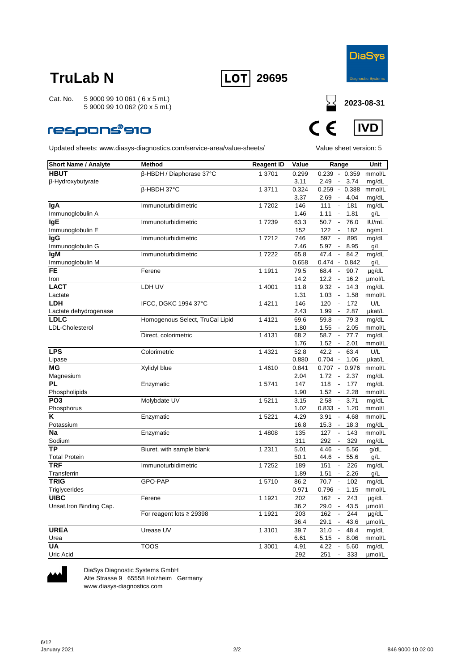



**2023-08-31**

**IVD** 

Cat. No. 5 9000 99 10 061 ( 6 x 5 mL) 5 9000 99 10 062 (20 x 5 mL)

### **respons®910**

Updated sheets: www.diasys-diagnostics.com/service-area/value-sheets/ Value sheet version: 5

| <b>Short Name / Analyte</b> | Method                          | <b>Reagent ID</b> | Value       | Range                            |                                 | Unit           |
|-----------------------------|---------------------------------|-------------------|-------------|----------------------------------|---------------------------------|----------------|
| <b>HBUT</b>                 | β-HBDH / Diaphorase 37°C        | 1 3701            | 0.299       | $0.239 - 0.359$                  |                                 | mmol/L         |
| β-Hydroxybutyrate           |                                 |                   | 3.11        |                                  | 2.49 - 3.74                     | mg/dL          |
|                             | β-HBDH 37°C                     | 1 3711            | 0.324       |                                  | $0.259 - 0.388$                 | mmol/L         |
|                             |                                 |                   | 3.37        | $2.69 -$                         | 4.04                            | mg/dL          |
| lgA                         | Immunoturbidimetric             | 17202             | 146         | 111<br>$\blacksquare$            | 181                             | mg/dL          |
| Immunoglobulin A            |                                 |                   | 1.46        | $1.11 -$                         | 1.81                            | g/L            |
| lgE                         | Immunoturbidimetric             | 17239             | 63.3        | 50.7<br>$\overline{\phantom{a}}$ | 76.0                            | IUML           |
| Immunoglobulin E            |                                 |                   | 152         | 122<br>$\sim$                    | 182                             | ng/mL          |
| lgG                         | Immunoturbidimetric             | 17212             | 746         | 597                              | 895<br>$\overline{\phantom{a}}$ | mg/dL          |
| Immunoglobulin G            |                                 |                   | 7.46        | $5.97 -$                         | 8.95                            | g/L            |
| <b>IgM</b>                  | Immunoturbidimetric             | 17222             | 65.8        | 47.4<br>$\sim$                   | 84.2                            | mg/dL          |
| Immunoglobulin M            |                                 |                   | 0.658       |                                  | $0.474 - 0.842$                 | g/L            |
| FE                          | Ferene                          | 1 1911            | 79.5        | 68.4<br>$\overline{\phantom{a}}$ | 90.7                            | $\mu$ g/dL     |
| Iron                        |                                 |                   | 14.2        | $12.2 -$                         | 16.2                            | umol/L         |
| <b>LACT</b>                 | LDH UV                          | 1 4001            | 11.8        | 9.32<br>$\sim$                   | 14.3                            | mg/dL          |
| Lactate                     |                                 |                   | 1.31        | $1.03 -$                         | 1.58                            | mmol/L         |
| <b>LDH</b>                  | IFCC, DGKC 1994 37°C            | 1 4 2 1 1         | 146         | 120<br>$\overline{\phantom{a}}$  | 172                             | U/L            |
| Lactate dehydrogenase       |                                 |                   | 2.43        | $1.99 -$                         | 2.87                            | µkat/L         |
| <b>LDLC</b>                 | Homogenous Select, TruCal Lipid | 1 4 1 2 1         | 69.6        | 59.8<br>$\sim$                   | 79.3                            | mg/dL          |
| LDL-Cholesterol             |                                 |                   | 1.80        | $1.55 -$                         | 2.05                            | mmol/L         |
|                             | Direct, colorimetric            | 14131             | 68.2        | 58.7<br>$\overline{\phantom{a}}$ | 77.7                            | mg/dL          |
|                             |                                 |                   | 1.76        | $1.52 -$                         | 2.01                            | mmol/L         |
| <b>LPS</b>                  | Colorimetric                    | 1 4 3 2 1         | 52.8        | 42.2                             | 63.4                            | U/L            |
| Lipase<br>ΜG                |                                 |                   | 0.880       | $0.704 -$                        | 1.06                            | µkat/L         |
|                             | Xylidyl blue                    | 14610             | 0.841       | $0.707 -$                        | 0.976<br>2.37                   | mmol/L         |
| Magnesium<br>PL             | Enzymatic                       | 15741             | 2.04<br>147 | $1.72 -$<br>118                  | 177                             | mg/dL<br>mg/dL |
| Phospholipids               |                                 |                   | 1.90        | $1.52 -$                         | 2.28                            | mmol/L         |
| PO <sub>3</sub>             | Molybdate UV                    | 15211             | 3.15        | 2.58<br>$\overline{\phantom{a}}$ | 3.71                            | mg/dL          |
| Phosphorus                  |                                 |                   | 1.02        | $0.833 -$                        | 1.20                            | mmol/L         |
| Κ                           | Enzymatic                       | 1 5221            | 4.29        | 3.91<br>$\sim$                   | 4.68                            | mmol/L         |
| Potassium                   |                                 |                   | 16.8        | $15.3 -$                         | 18.3                            | mg/dL          |
| Na                          | Enzymatic                       | 1 4808            | 135         | 127<br>$\blacksquare$            | 143                             | mmol/L         |
| Sodium                      |                                 |                   | 311         | 292<br>$\sim$                    | 329                             | mg/dL          |
| ТP                          | Biuret, with sample blank       | 1 2 3 1 1         | 5.01        | 4.46<br>$\blacksquare$           | 5.56                            | g/dL           |
| <b>Total Protein</b>        |                                 |                   | 50.1        | 44.6 -                           | 55.6                            | g/L            |
| <b>TRF</b>                  | Immunoturbidimetric             | 17252             | 189         | 151<br>$\overline{\phantom{a}}$  | 226                             | mg/dL          |
| Transferrin                 |                                 |                   | 1.89        | $1.51 -$                         | 2.26                            | g/L            |
| <b>TRIG</b>                 | GPO-PAP                         | 15710             | 86.2        | 70.7<br>$\overline{\phantom{a}}$ | 102                             | mg/dL          |
| Triglycerides               |                                 |                   | 0.971       | $0.796 -$                        | 1.15                            | mmol/L         |
| <b>UIBC</b>                 | Ferene                          | 1 1921            | 202         | 162<br>$\overline{\phantom{a}}$  | 243                             | $\mu$ g/dL     |
| Unsat.Iron Binding Cap.     |                                 |                   | 36.2        | 29.0 -                           | 43.5                            | umol/L         |
|                             | For reagent lots ≥ 29398        | 1 1921            | 203         | 162                              | 244                             | µg/dL          |
|                             |                                 |                   | 36.4        | $29.1 -$                         | 43.6                            | µmol/L         |
| <b>UREA</b>                 | Urease UV                       | 1 3101            | 39.7        | 31.0<br>$\overline{\phantom{a}}$ | 48.4                            | mg/dL          |
| Urea                        |                                 |                   | 6.61        | 5.15 -                           | 8.06                            | mmol/L         |
| UA                          | TOOS                            | 1 3001            | 4.91        | 4.22<br>$\sim$                   | 5.60                            | mg/dL          |
| Uric Acid                   |                                 |                   | 292         | 251<br>$\overline{\phantom{a}}$  | 333                             | umol/L         |



DiaSys Diagnostic Systems GmbH Alte Strasse 9 65558 Holzheim Germany www.diasys-diagnostics.com

6/12<br>January 2021

 $\epsilon$ 

 $\epsilon$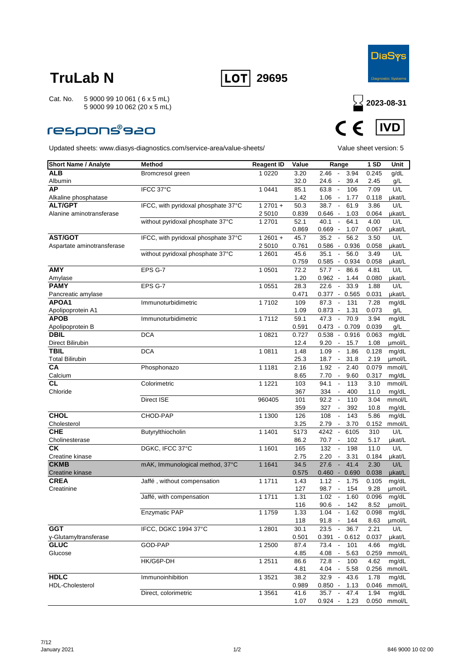



### **respons®s20**



| <b>Short Name / Analyte</b> | <b>Method</b>                       | <b>Reagent ID</b> | Value         | Range                                                         | 1 SD          | Unit            |
|-----------------------------|-------------------------------------|-------------------|---------------|---------------------------------------------------------------|---------------|-----------------|
| ALB                         | Bromcresol green                    | 1 0 2 2 0         | 3.20          | 2.46<br>3.94<br>$\overline{\phantom{a}}$                      | 0.245         | g/dL            |
| Albumin                     |                                     |                   | 32.0          | 24.6<br>39.4                                                  | 2.45          | g/L             |
| AP                          | IFCC 37°C                           | 1 0441            | 85.1          | 63.8<br>$\blacksquare$<br>106                                 | 7.09          | U/L             |
| Alkaline phosphatase        |                                     |                   | 1.42          | 1.06<br>$\sim$<br>1.77                                        | 0.118         | µkat/L          |
| <b>ALT/GPT</b>              | IFCC, with pyridoxal phosphate 37°C | $12701 +$         | 50.3          | 38.7<br>61.9<br>$\overline{\phantom{a}}$                      | 3.86          | U/L             |
| Alanine aminotransferase    |                                     | 2 5010            | 0.839         | 0.646<br>1.03<br>$\overline{\phantom{a}}$                     | 0.064         | µkat/L          |
|                             | without pyridoxal phosphate 37°C    | 1 2701            | 52.1          | 40.1<br>64.1<br>$\blacksquare$                                | 4.00          | U/L             |
|                             |                                     |                   | 0.869         | 0.669<br>1.07<br>$\overline{\phantom{a}}$                     | 0.067         | µkat/L          |
| <b>AST/GOT</b>              | IFCC, with pyridoxal phosphate 37°C | $12601 +$         | 45.7          | 35.2<br>56.2<br>$\overline{\phantom{a}}$                      | 3.50          | U/L             |
| Aspartate aminotransferase  |                                     | 2 5010            | 0.761         | 0.586 - 0.936                                                 | 0.058         | µkat/L<br>U/L   |
|                             | without pyridoxal phosphate 37°C    | 1 2 6 0 1         | 45.6<br>0.759 | 56.0<br>35.1<br>$\overline{\phantom{a}}$<br>0.585<br>$-0.934$ | 3.49<br>0.058 | µkat/L          |
| <b>AMY</b>                  | EPS G-7                             | 1 0501            | 72.2          | 57.7<br>$\overline{\phantom{a}}$<br>86.6                      | 4.81          | U/L             |
|                             |                                     |                   | 1.20          | $0.962 -$<br>1.44                                             | 0.080         |                 |
| Amylase<br><b>PAMY</b>      | EPS G-7                             | 1 0551            | 28.3          | 22.6<br>33.9<br>$\overline{\phantom{a}}$                      | 1.88          | µkat/L<br>U/L   |
| Pancreatic amylase          |                                     |                   | 0.471         | $0.377 - 0.565$                                               | 0.031         | µkat/L          |
| APOA1                       | Immunoturbidimetric                 | 17102             | 109           | 87.3<br>131<br>$\overline{\phantom{a}}$                       | 7.28          | mg/dL           |
| Apolipoprotein A1           |                                     |                   | 1.09          | 1.31<br>$0.873 -$                                             | 0.073         | g/L             |
| <b>APOB</b>                 | Immunoturbidimetric                 | 17112             | 59.1          | 47.3<br>70.9<br>$\blacksquare$                                | 3.94          | mg/dL           |
| Apolipoprotein B            |                                     |                   | 0.591         | $0.473 - 0.709$                                               | 0.039         | g/L             |
| <b>DBIL</b>                 | <b>DCA</b>                          | 1 0821            | 0.727         | $0.538 - 0.916$                                               | 0.063         | mg/dL           |
| Direct Bilirubin            |                                     |                   | 12.4          | 9.20<br>15.7<br>$\overline{\phantom{a}}$                      | 1.08          | µmol/L          |
| <b>TBIL</b>                 | <b>DCA</b>                          | 1 0811            | 1.48          | $\blacksquare$<br>1.09<br>1.86                                | 0.128         | mg/dL           |
| <b>Total Bilirubin</b>      |                                     |                   | 25.3          | 31.8<br>18.7<br>$\sim$                                        | 2.19          | µmol/L          |
| CА                          | Phosphonazo                         | 1 1 1 8 1         | 2.16          | 1.92<br>2.40<br>$\overline{\phantom{a}}$                      | 0.079         | mmol/L          |
| Calcium                     |                                     |                   | 8.65          | 7.70<br>9.60<br>$\overline{\phantom{a}}$                      | 0.317         | mg/dL           |
| <b>CL</b>                   | Colorimetric                        | 1 1 2 2 1         | 103           | 94.1<br>113                                                   | 3.10          | mmol/L          |
| Chloride                    |                                     |                   | 367           | 334<br>400                                                    | 11.0          | mg/dL           |
|                             | Direct ISE                          | 960405            | 101           | 92.2<br>110<br>$\overline{\phantom{a}}$                       | 3.04          | mmol/L          |
|                             |                                     |                   | 359           | 327<br>392<br>$\sim$                                          | 10.8          | mg/dL           |
| <b>CHOL</b>                 | CHOD-PAP                            | 1 1300            | 126           | 143<br>108<br>$\overline{\phantom{a}}$                        | 5.86          | mg/dL           |
| Cholesterol                 |                                     |                   | 3.25          | 2.79<br>3.70<br>$\overline{\phantom{a}}$                      | 0.152         | mmol/L          |
| <b>CHE</b>                  | Butyrylthiocholin                   | 1 1401            | 5173          | 4242<br>6105<br>$\blacksquare$                                | 310           | U/L             |
| Cholinesterase              |                                     |                   | 86.2          | 70.7<br>102<br>$\overline{\phantom{a}}$                       | 5.17          | µkat/L          |
| <b>CK</b>                   | DGKC, IFCC 37°C                     | 1 1601            | 165           | 132<br>198<br>$\overline{\phantom{a}}$                        | 11.0          | U/L             |
| Creatine kinase             |                                     |                   | 2.75          | 2.20<br>3.31<br>$\overline{\phantom{a}}$                      | 0.184         | µkat/L          |
| <b>CKMB</b>                 | mAK, Immunological method, 37°C     | 1 1 6 4 1         | 34.5          | 27.6<br>41.4<br>$\blacksquare$                                | 2.30          | U/L             |
| Creatine kinase             |                                     |                   | 0.575         | $0.460 - 0.690$                                               | 0.038         | µkat/L          |
| <b>CREA</b>                 | Jaffé, without compensation         | 1 1711            | 1.43          | 1.12<br>1.75<br>$\overline{\phantom{a}}$                      | 0.105         | mg/dL           |
| Creatinine                  |                                     |                   | 127           | 98.7<br>$\sim$<br>154                                         | 9.28          | µmol/L          |
|                             | Jaffé, with compensation            | 1 1711            | 1.31          | 1.02<br>1.60                                                  | 0.096         | mg/dL           |
|                             |                                     |                   | 116           | 90.6<br>142<br>$\overline{\phantom{a}}$                       | 8.52          | µmol/L          |
|                             | Enzymatic PAP                       | 1 1759            | 1.33          | 1.04<br>1.62<br>$\overline{\phantom{a}}$                      | 0.098         | mg/dL           |
|                             |                                     |                   | 118           | 91.8 - 144                                                    | 8.63          | µmol/L          |
| <b>GGT</b>                  | IFCC, DGKC 1994 37°C                | 1 2 8 0 1         | 30.1          | $23.5 -$<br>36.7                                              | 2.21          | U/L             |
| γ-Glutamyltransferase       |                                     |                   | 0.501         | $0.391 - 0.612$                                               | 0.037         | µkat/L          |
| <b>GLUC</b>                 | GOD-PAP                             | 1 2500            | 87.4          | 73.4<br>$\sim$<br>101                                         | 4.66          | mg/dL           |
| Glucose                     | HK/G6P-DH                           | 1 2511            | 4.85          | 4.08<br>5.63<br>$\sim$<br>72.8<br>$\blacksquare$              | 0.259<br>4.62 | mmol/L          |
|                             |                                     |                   | 86.6          | 100                                                           |               | mg/dL           |
| <b>HDLC</b>                 | Immunoinhibition                    |                   | 4.81          | $4.04 -$<br>5.58<br>32.9                                      | 0.256         | mmol/L          |
| HDL-Cholesterol             |                                     | 1 3 5 2 1         | 38.2<br>0.989 | 43.6<br>$\sim$<br>$0.850 -$<br>1.13                           | 1.78<br>0.046 | mg/dL<br>mmol/L |
|                             | Direct, colorimetric                | 1 3 5 6 1         | 41.6          | $35.7 -$<br>47.4                                              | 1.94          | mg/dL           |
|                             |                                     |                   | 1.07          | $0.924 -$<br>1.23                                             | 0.050         | mmol/L          |
|                             |                                     |                   |               |                                                               |               |                 |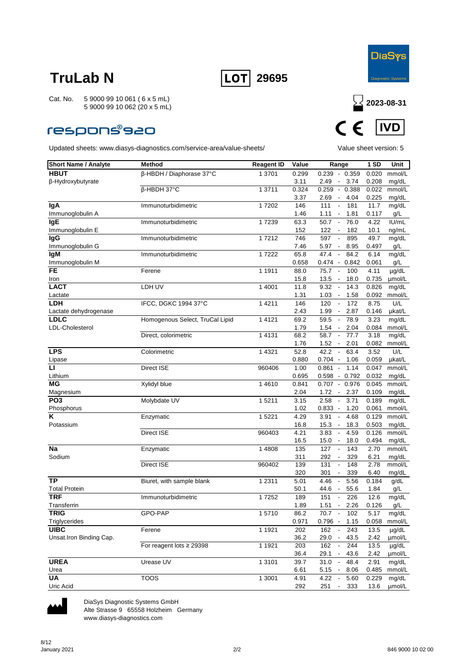



### **respons®s20**

Updated sheets: www.diasys-diagnostics.com/service-area/value-sheets/ Value sheet version: 5



| <b>Short Name / Analyte</b>            | <b>Method</b>                   | <b>Reagent ID</b>   | Value       | Range                                          | 1 SD         | Unit                 |
|----------------------------------------|---------------------------------|---------------------|-------------|------------------------------------------------|--------------|----------------------|
| <b>HBUT</b>                            | β-HBDH / Diaphorase 37°C        | 1 3701              | 0.299       | $0.239 - 0.359$                                | 0.020        | mmol/L               |
| β-Hydroxybutyrate                      |                                 |                     | 3.11        | 3.74<br>2.49<br>$\overline{\phantom{a}}$       | 0.208        | mg/dL                |
|                                        | β-HBDH 37°C                     | 1 3711              | 0.324       | 0.259<br>$-0.388$                              | 0.022        | mmol/L               |
|                                        |                                 |                     | 3.37        | 2.69<br>4.04<br>$\sim$                         | 0.225        | mg/dL                |
| lgA                                    | Immunoturbidimetric             | 17202               | 146         | 111<br>181<br>$\overline{\phantom{a}}$         | 11.7         | mg/dL                |
| Immunoglobulin A                       |                                 |                     | 1.46        | 1.11<br>1.81<br>$\overline{\phantom{a}}$       | 0.117        | g/L                  |
| IgE                                    | Immunoturbidimetric             | 17239               | 63.3        | 50.7<br>$\overline{\phantom{a}}$<br>76.0       | 4.22         | IU/mL                |
| Immunoglobulin E                       |                                 |                     | 152         | 122<br>182<br>$\sim$                           | 10.1         | ng/mL                |
| lgG                                    | Immunoturbidimetric             | 17212               | 746         | 597<br>895<br>$\overline{\phantom{a}}$         | 49.7         | mg/dL                |
| Immunoglobulin G                       |                                 |                     | 7.46        | 5.97<br>8.95<br>$\overline{\phantom{a}}$       | 0.497        | g/L                  |
| lgM                                    | Immunoturbidimetric             | 17222               | 65.8        | 47.4<br>84.2<br>$\blacksquare$                 | 6.14         | mg/dL                |
| Immunoglobulin M                       |                                 |                     | 0.658       | $0.474 - 0.842$                                | 0.061        | g/L                  |
| FE                                     | Ferene                          | 1 1911              | 88.0        | 75.7<br>100<br>$\sim$                          | 4.11         | µg/dL                |
| Iron                                   |                                 |                     | 15.8        | 13.5<br>18.0<br>$\sim$                         | 0.735        | umol/L               |
| <b>LACT</b>                            | LDH UV                          | 1 4001              | 11.8        | 9.32<br>14.3<br>$\overline{\phantom{a}}$       | 0.826        | mg/dL                |
| Lactate                                |                                 |                     | 1.31        | 1.03<br>1.58<br>$\overline{\phantom{a}}$       | 0.092        | mmol/L               |
| LDH                                    | IFCC, DGKC 1994 37°C            | 1 4 2 1 1           | 146         | 120<br>172<br>$\overline{\phantom{a}}$         | 8.75         | U/L                  |
| Lactate dehydrogenase                  |                                 |                     | 2.43        | 1.99<br>2.87<br>$\overline{\phantom{a}}$       | 0.146        | µkat/L               |
| <b>LDLC</b>                            | Homogenous Select, TruCal Lipid | 1 4 1 2 1           | 69.2        | 59.5<br>78.9<br>$\overline{\phantom{a}}$       | 3.23         | mg/dL                |
| <b>LDL-Cholesterol</b>                 |                                 |                     | 1.79        | 1.54<br>2.04<br>$\overline{\phantom{a}}$       | 0.084        | mmol/L               |
|                                        | Direct, colorimetric            | 1 4131              | 68.2        | 58.7<br>77.7<br>$\overline{\phantom{a}}$       | 3.18         | mg/dL                |
|                                        |                                 |                     | 1.76        | 1.52<br>2.01<br>$\overline{\phantom{a}}$       | 0.082        | mmol/L               |
| <b>LPS</b>                             | Colorimetric                    | 1 4 3 2 1           | 52.8        | $\sim$<br>42.2<br>63.4                         | 3.52         | U/L                  |
| Lipase                                 |                                 |                     | 0.880       | $0.704 -$<br>1.06                              | 0.059        | µkat/L               |
| $\mathbf{L}$                           | Direct ISE                      | 960406              | 1.00        | 1.14<br>0.861<br>$\sim$                        | 0.047        | mmol/L               |
| Lithium                                |                                 |                     | 0.695       | 0.598<br>$-0.792$                              | 0.032        | mg/dL                |
| ΜG                                     | Xylidyl blue                    | 14610               | 0.841       | $0.707 - 0.976$                                | 0.045        | mmol/L               |
| Magnesium                              |                                 |                     | 2.04        | 1.72<br>2.37<br>$\sim$                         | 0.109        | mg/dL                |
| PO <sub>3</sub>                        | Molybdate UV                    | $\overline{1}$ 5211 | 3.15        | 2.58<br>3.71<br>$\overline{\phantom{a}}$       | 0.189        | mg/dL                |
| Phosphorus                             |                                 |                     | 1.02        | $0.833 -$<br>1.20                              | 0.061        | mmol/L               |
| Κ                                      | Enzymatic                       | 1 5221              | 4.29        | 3.91<br>4.68<br>$\overline{\phantom{a}}$       | 0.129        | mmol/L               |
| Potassium                              |                                 |                     | 16.8        | 15.3<br>18.3                                   | 0.503        | mg/dL                |
|                                        | Direct ISE                      | 960403              | 4.21        | 3.83<br>$\blacksquare$<br>4.59                 | 0.126        | mmol/L               |
|                                        |                                 |                     | 16.5        | 15.0<br>18.0<br>$\overline{\phantom{a}}$       | 0.494        | mg/dL                |
| Na                                     | Enzymatic                       | 1 4808              | 135         | 127<br>143<br>$\overline{\phantom{a}}$         | 2.70         | mmol/L               |
| Sodium                                 |                                 |                     | 311         | 292<br>329<br>$\overline{\phantom{a}}$         | 6.21         | mg/dL                |
|                                        | Direct ISE                      | 960402              | 139         | 131<br>148<br>$\overline{\phantom{a}}$         | 2.78         | mmol/L               |
| $\overline{TP}$                        |                                 |                     | 320         | 301<br>339<br>$\overline{\phantom{a}}$         | 6.40         | mg/dL                |
|                                        | Biuret, with sample blank       | 1 2 3 1 1           | 5.01        | 4.46<br>5.56<br>$\overline{\phantom{a}}$       | 0.184        | g/dL                 |
| <b>Total Protein</b><br><b>TRF</b>     |                                 |                     | 50.1        | 44.6<br>55.6<br>$\overline{\phantom{a}}$       | 1.84         | g/L                  |
|                                        | Immunoturbidimetric             | 17252               | 189         | 226<br>151<br>$\overline{\phantom{a}}$         | 12.6         | mg/dL                |
| Transferrin<br><b>TRIG</b>             |                                 |                     | 1.89        | 1.51<br>2.26<br>$\overline{\phantom{a}}$       | 0.126        | g/L                  |
|                                        | GPO-PAP                         | 15710               | 86.2        | 70.7<br>102<br>$\sim$                          | 5.17         | mg/dL                |
| Triglycerides                          |                                 |                     | 0.971       | $0.796 - 1.15$                                 |              | $0.058$ mmol/L       |
| <b>UIBC</b><br>Unsat.Iron Binding Cap. | Ferene                          | 1 1921              | 202<br>36.2 | 162<br>$\sim$<br>243<br>29.0<br>$\sim$<br>43.5 | 13.5<br>2.42 | $\mu$ g/dL<br>µmol/L |
|                                        | For reagent lots $\geq$ 29398   | 1 1921              | 203         | 162<br>$\overline{\phantom{a}}$<br>244         | 13.5         | µg/dL                |
|                                        |                                 |                     | 36.4        | 29.1<br>43.6<br>$\sim$                         | 2.42         | µmol/L               |
| <b>UREA</b>                            | Urease UV                       | 1 3101              | 39.7        | $\sim$<br>31.0<br>48.4                         | 2.91         | mg/dL                |
| Urea                                   |                                 |                     | 6.61        | $5.15 -$<br>8.06                               | 0.485        | $mmol/L$             |
| UA                                     | <b>TOOS</b>                     | 1 3001              | 4.91        | 4.22<br>5.60<br>$\sim$                         | 0.229        | mg/dL                |
| Uric Acid                              |                                 |                     | 292         | 251<br>333<br>$\overline{\phantom{a}}$         | 13.6         | umol/L               |
|                                        |                                 |                     |             |                                                |              |                      |



DiaSys Diagnostic Systems GmbH Alte Strasse 9 65558 Holzheim Germany

www.diasys-diagnostics.com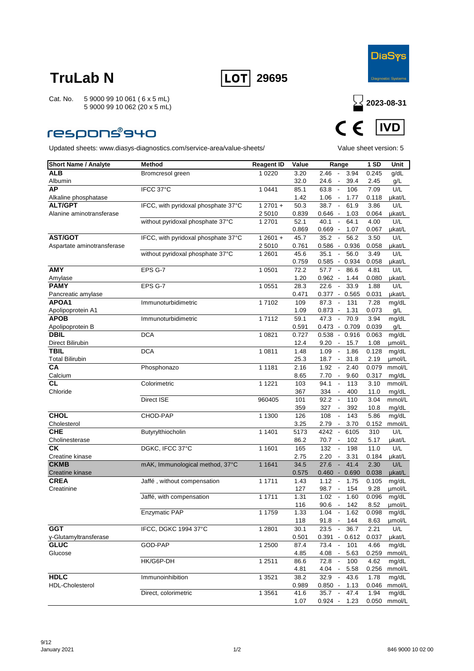



### **respons®940**



| <b>Short Name / Analyte</b>    | <b>Method</b>                       | <b>Reagent ID</b> | Value         | Range                                                       | 1 SD          | Unit          |
|--------------------------------|-------------------------------------|-------------------|---------------|-------------------------------------------------------------|---------------|---------------|
| <b>ALB</b>                     | Bromcresol green                    | 1 0 2 2 0         | 3.20          | 2.46<br>3.94<br>$\overline{\phantom{a}}$                    | 0.245         | g/dL          |
| Albumin                        |                                     |                   | 32.0          | 24.6<br>39.4<br>$\overline{\phantom{a}}$                    | 2.45          | g/L           |
| AP                             | IFCC 37°C                           | 1 0 4 4 1         | 85.1          | 63.8<br>$\sim$<br>106                                       | 7.09          | U/L           |
| Alkaline phosphatase           |                                     |                   | 1.42          | $1.06 -$<br>1.77                                            | 0.118         | µkat/L        |
| <b>ALT/GPT</b>                 | IFCC, with pyridoxal phosphate 37°C | $12701 +$         | 50.3          | 38.7<br>61.9<br>$\overline{\phantom{a}}$                    | 3.86          | U/L           |
| Alanine aminotransferase       |                                     | 2 5010            | 0.839         | 0.646<br>$\sim$<br>1.03                                     | 0.064         | µkat/L        |
|                                | without pyridoxal phosphate 37°C    | 1 2701            | 52.1          | 40.1<br>64.1<br>$\overline{\phantom{a}}$                    | 4.00          | U/L           |
|                                |                                     |                   | 0.869         | 0.669<br>1.07<br>$\overline{\phantom{a}}$                   | 0.067         | µkat/L        |
| <b>AST/GOT</b>                 | IFCC, with pyridoxal phosphate 37°C | $12601 +$         | 45.7          | 35.2<br>$\sim$<br>56.2                                      | 3.50          | U/L           |
| Aspartate aminotransferase     |                                     | 2 5010            | 0.761         | 0.586 - 0.936                                               | 0.058         | µkat/L        |
|                                | without pyridoxal phosphate 37°C    | 1 2601            | 45.6          | 56.0<br>35.1<br>$\overline{\phantom{a}}$<br>0.585           | 3.49          | U/L           |
| <b>AMY</b>                     | EPS G-7                             | 1 0501            | 0.759<br>72.2 | 0.934<br>$\sim$<br>57.7<br>86.6<br>$\overline{\phantom{a}}$ | 0.058<br>4.81 | µkat/L<br>U/L |
|                                |                                     |                   | 1.20          | $0.962 -$<br>1.44                                           | 0.080         | µkat/L        |
| Amylase<br><b>PAMY</b>         | EPS G-7                             | 1 0551            | 28.3          | 22.6<br>33.9<br>$\overline{\phantom{a}}$                    | 1.88          | U/L           |
| Pancreatic amylase             |                                     |                   | 0.471         | $0.377 - 0.565$                                             | 0.031         | µkat/L        |
| APOA1                          | Immunoturbidimetric                 | 17102             | 109           | 87.3<br>131<br>$\overline{\phantom{a}}$                     | 7.28          | mg/dL         |
| Apolipoprotein A1              |                                     |                   | 1.09          | 0.873<br>1.31<br>$\overline{\phantom{a}}$                   | 0.073         | g/L           |
| <b>APOB</b>                    | Immunoturbidimetric                 | 17112             | 59.1          | 47.3<br>70.9<br>$\sim$                                      | 3.94          | mg/dL         |
| Apolipoprotein B               |                                     |                   | 0.591         | $0.473 - 0.709$                                             | 0.039         | g/L           |
| <b>DBIL</b>                    | <b>DCA</b>                          | 1 0 8 2 1         | 0.727         | 0.538<br>0.916<br>$\sim$                                    | 0.063         | mg/dL         |
| Direct Bilirubin               |                                     |                   | 12.4          | 9.20<br>15.7<br>$\overline{\phantom{a}}$                    | 1.08          | µmol/L        |
| <b>TBIL</b>                    | <b>DCA</b>                          | 1 0811            | 1.48          | 1.09<br>1.86<br>$\overline{\phantom{a}}$                    | 0.128         | mg/dL         |
| <b>Total Bilirubin</b>         |                                     |                   | 25.3          | 18.7<br>31.8<br>$\sim$                                      | 2.19          | umol/L        |
| CA                             | Phosphonazo                         | 1 1 1 8 1         | 2.16          | 1.92<br>2.40<br>$\overline{\phantom{a}}$                    | 0.079         | mmol/L        |
| Calcium                        |                                     |                   | 8.65          | 7.70<br>$\sim$<br>9.60                                      | 0.317         | mg/dL         |
| CL                             | Colorimetric                        | 1 1 2 2 1         | 103           | 113<br>94.1                                                 | 3.10          | mmol/L        |
| Chloride                       |                                     |                   | 367           | 334<br>400                                                  | 11.0          | mg/dL         |
|                                | Direct ISE                          | 960405            | 101           | 92.2<br>$\overline{\phantom{a}}$<br>110                     | 3.04          | mmol/L        |
|                                |                                     |                   | 359           | 327<br>392<br>$\overline{\phantom{a}}$                      | 10.8          | mg/dL         |
| <b>CHOL</b>                    | CHOD-PAP                            | 1 1300            | 126           | 108<br>143<br>$\overline{\phantom{a}}$                      | 5.86          | mg/dL         |
| Cholesterol                    |                                     |                   | 3.25          | 2.79<br>3.70<br>$\overline{\phantom{a}}$                    | 0.152         | mmol/L        |
| <b>CHE</b>                     | Butyrylthiocholin                   | 1 1401            | 5173          | 4242<br>6105<br>$\overline{\phantom{a}}$                    | 310           | U/L           |
| Cholinesterase                 |                                     |                   | 86.2          | 70.7<br>102<br>$\overline{\phantom{a}}$                     | 5.17          | µkat/L        |
| <b>CK</b>                      | DGKC, IFCC 37°C                     | 11601             | 165           | 132<br>198<br>$\blacksquare$                                | 11.0          | U/L           |
| Creatine kinase                |                                     |                   | 2.75          | 2.20<br>3.31<br>$\sim$                                      | 0.184         | µkat/L        |
| <b>CKMB</b><br>Creatine kinase | mAK, Immunological method, 37°C     | 1 1 6 4 1         | 34.5<br>0.575 | 27.6<br>41.4<br>$\overline{\phantom{a}}$<br>0.460<br>0.690  | 2.30<br>0.038 | U/L<br>µkat/L |
| <b>CREA</b>                    | Jaffé, without compensation         | 1 1711            | 1.43          | $\sim$<br>1.12<br>1.75<br>$\overline{\phantom{a}}$          | 0.105         | mg/dL         |
| Creatinine                     |                                     |                   | 127           | 154<br>98.7<br>$\sim$                                       | 9.28          | µmol/L        |
|                                | Jaffé, with compensation            | 1 1711            | 1.31          | 1.02<br>1.60<br>$\overline{\phantom{a}}$                    | 0.096         | mg/dL         |
|                                |                                     |                   | 116           | 90.6<br>142<br>$\overline{\phantom{a}}$                     | 8.52          | µmol/L        |
|                                | Enzymatic PAP                       | 1 1759            | 1.33          | 1.04<br>1.62<br>$\sim$                                      | 0.098         | mg/dL         |
|                                |                                     |                   | 118           | 91.8<br>144<br>$\sim$ $-$                                   | 8.63          | µmol/L        |
| <b>GGT</b>                     | IFCC, DGKC 1994 37°C                | 1 2 8 0 1         | 30.1          | $23.5 -$<br>36.7                                            | 2.21          | U/L           |
| y-Glutamyltransferase          |                                     |                   | 0.501         | $0.391 - 0.612$                                             | 0.037         | µkat/L        |
| <b>GLUC</b>                    | GOD-PAP                             | 1 2500            | 87.4          | $73.4 -$<br>101                                             | 4.66          | mg/dL         |
| Glucose                        |                                     |                   | 4.85          | 4.08<br>$\sim$<br>5.63                                      | 0.259         | mmol/L        |
|                                | HK/G6P-DH                           | 1 2511            | 86.6          | 72.8<br>100<br>$\overline{\phantom{a}}$                     | 4.62          | mg/dL         |
|                                |                                     |                   | 4.81          | 4.04<br>5.58                                                | 0.256         | mmol/L        |
| <b>HDLC</b>                    | Immunoinhibition                    | 1 3 5 2 1         | 38.2          | $32.9 -$<br>43.6                                            | 1.78          | mg/dL         |
| <b>HDL-Cholesterol</b>         |                                     |                   | 0.989         | $0.850 -$<br>1.13                                           | 0.046         | mmol/L        |
|                                | Direct, colorimetric                | 1 3561            | 41.6          | $35.7 -$<br>47.4                                            | 1.94          | mg/dL         |
|                                |                                     |                   | 1.07          | $0.924 -$<br>1.23                                           | 0.050         | mmol/L        |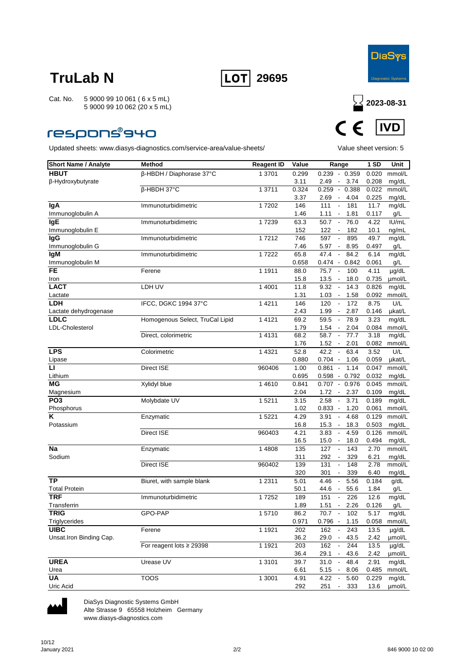



### **respons®940**

Updated sheets: www.diasys-diagnostics.com/service-area/value-sheets/ Value sheet version: 5



| <b>Short Name / Analyte</b> | <b>Method</b>                   | <b>Reagent ID</b> | Value | Range                                     | 1 SD  | Unit   |
|-----------------------------|---------------------------------|-------------------|-------|-------------------------------------------|-------|--------|
| <b>HBUT</b>                 | β-HBDH / Diaphorase 37°C        | 1 3701            | 0.299 | $0.239 - 0.359$                           | 0.020 | mmol/L |
| β-Hydroxybutyrate           |                                 |                   | 3.11  | 3.74<br>2.49<br>$\overline{\phantom{a}}$  | 0.208 | mg/dL  |
|                             | β-HBDH 37°C                     | 1 3711            | 0.324 | 0.259<br>$-0.388$                         | 0.022 | mmol/L |
|                             |                                 |                   | 3.37  | 2.69<br>4.04<br>$\sim$                    | 0.225 | mg/dL  |
| lgA                         | Immunoturbidimetric             | 17202             | 146   | 111<br>181<br>$\overline{\phantom{a}}$    | 11.7  | mg/dL  |
| Immunoglobulin A            |                                 |                   | 1.46  | 1.11<br>1.81<br>$\overline{\phantom{a}}$  | 0.117 | g/L    |
| <b>lgE</b>                  | Immunoturbidimetric             | 17239             | 63.3  | 50.7<br>76.0<br>$\overline{\phantom{a}}$  | 4.22  | IU/mL  |
| Immunoglobulin E            |                                 |                   | 152   | 122<br>182<br>$\overline{\phantom{a}}$    | 10.1  | ng/mL  |
| lgG                         | Immunoturbidimetric             | 17212             | 746   | 597<br>895<br>$\overline{\phantom{a}}$    | 49.7  | mg/dL  |
| Immunoglobulin G            |                                 |                   | 7.46  | 5.97<br>8.95<br>$\overline{\phantom{a}}$  | 0.497 | g/L    |
| <b>IgM</b>                  | Immunoturbidimetric             | 17222             | 65.8  | 47.4<br>84.2<br>$\overline{\phantom{a}}$  | 6.14  | mg/dL  |
| Immunoglobulin M            |                                 |                   | 0.658 | 0.474 - 0.842                             | 0.061 | g/L    |
| <b>FE</b>                   | Ferene                          | 1 1911            | 88.0  | 75.7<br>$\overline{\phantom{a}}$<br>100   | 4.11  | µg/dL  |
| Iron                        |                                 |                   | 15.8  | 13.5<br>18.0<br>$\sim$                    | 0.735 | umol/L |
| <b>LACT</b>                 | LDH UV                          | 1 4001            | 11.8  | 9.32<br>14.3<br>$\overline{\phantom{a}}$  | 0.826 | mg/dL  |
| Lactate                     |                                 |                   | 1.31  | 1.03<br>1.58<br>$\overline{\phantom{a}}$  | 0.092 | mmol/L |
| LDH                         | IFCC, DGKC 1994 37°C            | 1 4 2 1 1         | 146   | 120<br>172<br>$\overline{\phantom{a}}$    | 8.75  | U/L    |
| Lactate dehydrogenase       |                                 |                   | 2.43  | 1.99<br>2.87<br>$\overline{\phantom{a}}$  | 0.146 | µkat/L |
| <b>LDLC</b>                 | Homogenous Select, TruCal Lipid | 1 4 1 2 1         | 69.2  | 59.5<br>78.9<br>$\overline{\phantom{a}}$  | 3.23  | mg/dL  |
| <b>LDL-Cholesterol</b>      |                                 |                   | 1.79  | 2.04<br>1.54<br>$\overline{\phantom{a}}$  | 0.084 | mmol/L |
|                             | Direct, colorimetric            | 1 4 1 3 1         | 68.2  | 58.7<br>77.7<br>$\overline{\phantom{a}}$  | 3.18  | mg/dL  |
|                             |                                 |                   | 1.76  | 1.52<br>2.01<br>$\overline{\phantom{a}}$  | 0.082 | mmol/L |
| <b>LPS</b>                  | Colorimetric                    | 1 4 3 2 1         | 52.8  | 42.2<br>$\sim$<br>63.4                    | 3.52  | U/L    |
| Lipase                      |                                 |                   | 0.880 | $0.704 -$<br>1.06                         | 0.059 | µkat/L |
| п                           | Direct ISE                      | 960406            | 1.00  | 1.14<br>0.861<br>$\overline{\phantom{a}}$ | 0.047 | mmol/L |
| Lithium                     |                                 |                   | 0.695 | $0.598 - 0.792$                           | 0.032 | mg/dL  |
| <b>MG</b>                   | Xylidyl blue                    | 14610             | 0.841 | $0.707 - 0.976$                           | 0.045 | mmol/L |
| Magnesium                   |                                 |                   | 2.04  | 1.72<br>2.37<br>$\overline{\phantom{a}}$  | 0.109 | mg/dL  |
| PO <sub>3</sub>             | Molybdate UV                    | 15211             | 3.15  | 2.58<br>3.71<br>$\overline{\phantom{a}}$  | 0.189 | mg/dL  |
| Phosphorus                  |                                 |                   | 1.02  | $0.833 -$<br>1.20                         | 0.061 | mmol/L |
| Κ                           | Enzymatic                       | 1 5221            | 4.29  | 3.91<br>4.68<br>$\overline{\phantom{a}}$  | 0.129 | mmol/L |
| Potassium                   |                                 |                   | 16.8  | 15.3<br>18.3<br>$\overline{\phantom{a}}$  | 0.503 | mg/dL  |
|                             | Direct ISE                      | 960403            | 4.21  | 3.83<br>$\overline{\phantom{a}}$<br>4.59  | 0.126 | mmol/L |
|                             |                                 |                   | 16.5  | 15.0<br>18.0<br>$\sim$                    | 0.494 | mg/dL  |
| <b>Na</b>                   | Enzymatic                       | 1 4808            | 135   | 127<br>143<br>$\overline{\phantom{a}}$    | 2.70  | mmol/L |
| Sodium                      |                                 |                   | 311   | 292<br>329<br>$\overline{\phantom{a}}$    | 6.21  | mg/dL  |
|                             | Direct ISE                      | 960402            | 139   | 131<br>148<br>$\overline{\phantom{a}}$    | 2.78  | mmol/L |
|                             |                                 |                   | 320   | 301<br>339                                | 6.40  | mg/dL  |
| <b>TP</b>                   | Biuret, with sample blank       | 1 2 3 1 1         | 5.01  | 4.46<br>$\blacksquare$<br>5.56            | 0.184 | g/dL   |
| <b>Total Protein</b>        |                                 |                   | 50.1  | 44.6<br>55.6<br>$\overline{\phantom{a}}$  | 1.84  | g/L    |
| TRF                         | Immunoturbidimetric             | 17252             | 189   | 226<br>151<br>$\overline{\phantom{a}}$    | 12.6  | mg/dL  |
| Transferrin                 |                                 |                   | 1.89  | 1.51<br>2.26<br>$\overline{\phantom{a}}$  | 0.126 | g/L    |
| <b>TRIG</b>                 | GPO-PAP                         | 15710             | 86.2  | 70.7<br>102                               | 5.17  | mg/dL  |
| Triglycerides               |                                 |                   | 0.971 | $0.796 - 1.15$                            | 0.058 | mmol/L |
| <b>UIBC</b>                 | Ferene                          | 1 1 9 2 1         | 202   | 162<br>243                                | 13.5  | µg/dL  |
| Unsat.Iron Binding Cap.     |                                 |                   | 36.2  | 29.0<br>$\overline{\phantom{a}}$<br>43.5  | 2.42  | umol/L |
|                             | For reagent lots $\geq$ 29398   | 1 1 9 2 1         | 203   | 162<br>$\overline{\phantom{a}}$<br>244    | 13.5  | µg/dL  |
|                             |                                 |                   | 36.4  | 29.1<br>43.6<br>$\sim$                    | 2.42  | µmol/L |
| <b>UREA</b>                 | Urease UV                       | 1 3 1 0 1         | 39.7  | 31.0<br>$\sim$<br>48.4                    | 2.91  | mg/dL  |
| Urea                        |                                 |                   | 6.61  | $5.15 -$<br>8.06                          | 0.485 | mmol/L |
| UA                          | <b>TOOS</b>                     | 1 3001            | 4.91  | 4.22<br>5.60<br>$\sim$                    | 0.229 | mg/dL  |
| Uric Acid                   |                                 |                   | 292   | 251<br>333<br>$\overline{\phantom{a}}$    | 13.6  | µmol/L |



DiaSys Diagnostic Systems GmbH Alte Strasse 9 65558 Holzheim Germany

www.diasys-diagnostics.com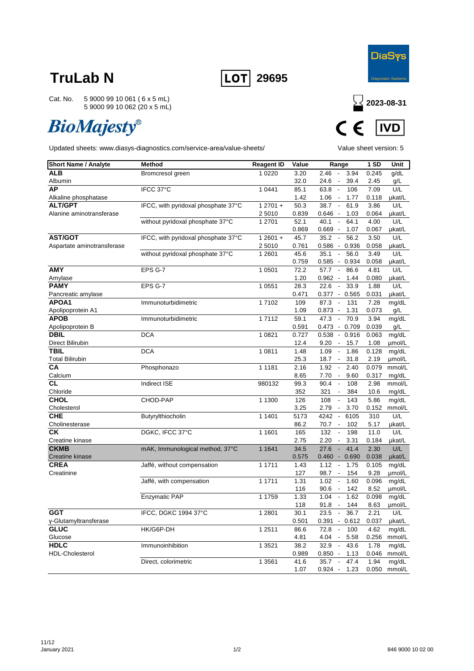



Cat. No. 5 9000 99 10 061 ( 6 x 5 mL) 5 9000 99 10 062 (20 x 5 mL)

# **BioMajesty®**



| <b>ALB</b><br>3.94<br>1 0 2 2 0<br>3.20<br>2.46<br>$\overline{\phantom{a}}$<br>0.245<br>g/dL<br>Bromcresol green<br>24.6<br>$\sim$<br>39.4<br>2.45<br>Albumin<br>32.0<br>g/L<br>AP<br>IFCC 37°C<br>1 0 4 4 1<br>63.8<br>106<br>7.09<br>U/L<br>85.1<br>$\blacksquare$<br>1.42<br>1.06<br>Alkaline phosphatase<br>$\overline{\phantom{a}}$<br>1.77<br>0.118<br>µkat/L<br><b>ALT/GPT</b><br>IFCC, with pyridoxal phosphate 37°C<br>$12701 +$<br>50.3<br>38.7<br>61.9<br>3.86<br>U/L<br>$\sim$<br>2 5010<br>0.839<br>Alanine aminotransferase<br>$0.646 -$<br>1.03<br>0.064<br>µkat/L<br>without pyridoxal phosphate 37°C<br>1 2701<br>40.1<br>64.1<br>4.00<br>U/L<br>52.1<br>$\blacksquare$<br>0.869<br>0.669<br>1.07<br>0.067<br>µkat/L<br>$\overline{\phantom{a}}$<br><b>AST/GOT</b><br>35.2<br>56.2<br>IFCC, with pyridoxal phosphate 37°C<br>$12601 +$<br>45.7<br>$\overline{\phantom{a}}$<br>3.50<br>U/L<br>2 5010<br>0.761<br>$0.586 -$<br>0.936<br>0.058<br>Aspartate aminotransferase<br>µkat/L<br>without pyridoxal phosphate 37°C<br>35.1<br>56.0<br>3.49<br>U/L<br>1 2601<br>45.6<br>$\blacksquare$<br>0.759<br>0.585<br>0.934<br>0.058<br>µkat/L<br>$\overline{\phantom{a}}$<br><b>AMY</b><br>EPS G-7<br>1 0501<br>72.2<br>57.7<br>86.6<br>4.81<br>U/L<br>$\blacksquare$<br>1.20<br>0.962<br>$\overline{\phantom{a}}$<br>1.44<br>0.080<br>µkat/L<br>Amylase<br><b>PAMY</b><br>EPS G-7<br>22.6<br>33.9<br>U/L<br>1 0551<br>28.3<br>1.88<br>$\overline{\phantom{a}}$<br>0.471<br>$0.377 -$<br>0.565<br>Pancreatic amylase<br>0.031<br>µkat/L<br>APOA1<br>17102<br>109<br>87.3<br>131<br>7.28<br>Immunoturbidimetric<br>mg/dL<br>$\overline{\phantom{a}}$<br>Apolipoprotein A1<br>1.09<br>$0.873 -$<br>1.31<br>0.073<br>g/L<br><b>APOB</b><br>70.9<br>Immunoturbidimetric<br>17112<br>59.1<br>47.3<br>3.94<br>mg/dL<br>$\overline{\phantom{a}}$<br>Apolipoprotein B<br>0.591<br>0.473 - 0.709<br>0.039<br>g/L<br><b>DBIL</b><br><b>DCA</b><br>0.727<br>0.916<br>0.063<br>mg/dL<br>1 0821<br>0.538<br>$\sim$<br>Direct Bilirubin<br>12.4<br>9.20<br>$\sim$<br>15.7<br>1.08<br>µmol/L<br><b>TBIL</b><br><b>DCA</b><br>1 0811<br>1.48<br>1.09<br>1.86<br>0.128<br>mg/dL<br>$\overline{\phantom{a}}$<br><b>Total Bilirubin</b><br>31.8<br>2.19<br>25.3<br>18.7<br>$\overline{\phantom{a}}$<br>µmol/L<br>СA<br>Phosphonazo<br>1 1 1 8 1<br>2.16<br>1.92<br>2.40<br>0.079<br>mmol/L<br>$\overline{\phantom{a}}$<br>Calcium<br>8.65<br>7.70<br>9.60<br>0.317<br>mg/dL<br>$\overline{\phantom{a}}$<br>CL<br>Indirect ISE<br>90.4<br>108<br>mmol/L<br>980132<br>99.3<br>$\overline{\phantom{a}}$<br>2.98<br>Chloride<br>321<br>10.6<br>352<br>384<br>mg/dL<br>$\overline{\phantom{a}}$<br><b>CHOL</b><br>CHOD-PAP<br>1 1300<br>126<br>108<br>$\overline{\phantom{a}}$<br>143<br>5.86<br>mg/dL<br>Cholesterol<br>3.25<br>2.79<br>0.152<br>3.70<br>mmol/L<br>$\overline{\phantom{a}}$<br><b>CHE</b><br>5173<br>4242<br>$\blacksquare$<br>6105<br>310<br>U/L<br>Butyrylthiocholin<br>1 1401<br>70.7<br>Cholinesterase<br>86.2<br>102<br>5.17<br>µkat/L<br>$\blacksquare$<br>132<br>CK<br>DGKC, IFCC 37°C<br>198<br>11.0<br>U/L<br>1 1601<br>165<br>$\overline{\phantom{a}}$<br>2.20<br>2.75<br>3.31<br>0.184<br>Creatine kinase<br>µkat/L<br><b>CKMB</b><br>27.6<br>41.4<br>2.30<br>U/L<br>mAK, Immunological method, 37°C<br>1 1 6 4 1<br>34.5<br>0.460<br>0.038<br>Creatine kinase<br>0.575<br>0.690<br>µkat/L<br>$\overline{\phantom{a}}$<br><b>CREA</b><br>1.12<br>Jaffé, without compensation<br>1 1711<br>1.43<br>1.75<br>0.105<br>mg/dL<br>$\overline{\phantom{a}}$<br>9.28<br>Creatinine<br>127<br>98.7<br>154<br>umol/L<br>1 1711<br>1.02<br>1.60<br>0.096<br>Jaffé, with compensation<br>1.31<br>$\overline{\phantom{a}}$<br>mg/dL<br>116<br>142<br>8.52<br>90.6<br>µmol/L<br>$\overline{\phantom{a}}$<br>Enzymatic PAP<br>1 1759<br>1.33<br>1.04<br>1.62<br>0.098<br>mg/dL<br>$\overline{\phantom{a}}$<br>118<br>91.8<br>$\overline{\phantom{a}}$<br>144<br>8.63<br>umol/L<br><b>GGT</b><br>U/L<br>IFCC, DGKC 1994 37°C<br>23.5<br>36.7<br>2.21<br>1 2801<br>30.1<br>$\overline{\phantom{a}}$<br>y-Glutamyltransferase<br>0.501<br>$0.391 - 0.612$<br>0.037<br>µkat/L<br><b>GLUC</b><br>HK/G6P-DH<br>1 2511<br>72.8<br>100<br>4.62<br>86.6<br>mg/dL<br>$\overline{\phantom{a}}$<br>5.58<br>0.256<br>Glucose<br>4.81<br>4.04<br>$\overline{\phantom{a}}$<br>mmol/L<br><b>HDLC</b><br>32.9<br>43.6<br>Immunoinhibition<br>1 3521<br>38.2<br>1.78<br>mg/dL<br>$\overline{\phantom{a}}$<br><b>HDL-Cholesterol</b><br>0.989<br>0.850<br>1.13<br>0.046<br>mmol/L<br>$\sim$<br>1 3561<br>47.4<br>1.94<br>Direct, colorimetric<br>41.6<br>35.7<br>$\blacksquare$<br>mg/dL | <b>Short Name / Analyte</b> | <b>Method</b> | <b>Reagent ID</b> | Value | Range             | 1 SD  | Unit   |
|------------------------------------------------------------------------------------------------------------------------------------------------------------------------------------------------------------------------------------------------------------------------------------------------------------------------------------------------------------------------------------------------------------------------------------------------------------------------------------------------------------------------------------------------------------------------------------------------------------------------------------------------------------------------------------------------------------------------------------------------------------------------------------------------------------------------------------------------------------------------------------------------------------------------------------------------------------------------------------------------------------------------------------------------------------------------------------------------------------------------------------------------------------------------------------------------------------------------------------------------------------------------------------------------------------------------------------------------------------------------------------------------------------------------------------------------------------------------------------------------------------------------------------------------------------------------------------------------------------------------------------------------------------------------------------------------------------------------------------------------------------------------------------------------------------------------------------------------------------------------------------------------------------------------------------------------------------------------------------------------------------------------------------------------------------------------------------------------------------------------------------------------------------------------------------------------------------------------------------------------------------------------------------------------------------------------------------------------------------------------------------------------------------------------------------------------------------------------------------------------------------------------------------------------------------------------------------------------------------------------------------------------------------------------------------------------------------------------------------------------------------------------------------------------------------------------------------------------------------------------------------------------------------------------------------------------------------------------------------------------------------------------------------------------------------------------------------------------------------------------------------------------------------------------------------------------------------------------------------------------------------------------------------------------------------------------------------------------------------------------------------------------------------------------------------------------------------------------------------------------------------------------------------------------------------------------------------------------------------------------------------------------------------------------------------------------------------------------------------------------------------------------------------------------------------------------------------------------------------------------------------------------------------------------------------------------------------------------------------------------------------------------------------------------------------------------------------------------------------------------------------------------------------------------------------------------------------------------------------------------------------------------------------------------------------------------------------------------------------------------------------------------------------------------------------------------------------------------------------------------------------------------------------------------------------------------------------------------------------------------------------------------------------------------|-----------------------------|---------------|-------------------|-------|-------------------|-------|--------|
|                                                                                                                                                                                                                                                                                                                                                                                                                                                                                                                                                                                                                                                                                                                                                                                                                                                                                                                                                                                                                                                                                                                                                                                                                                                                                                                                                                                                                                                                                                                                                                                                                                                                                                                                                                                                                                                                                                                                                                                                                                                                                                                                                                                                                                                                                                                                                                                                                                                                                                                                                                                                                                                                                                                                                                                                                                                                                                                                                                                                                                                                                                                                                                                                                                                                                                                                                                                                                                                                                                                                                                                                                                                                                                                                                                                                                                                                                                                                                                                                                                                                                                                                                                                                                                                                                                                                                                                                                                                                                                                                                                                                                                                                        |                             |               |                   |       |                   |       |        |
|                                                                                                                                                                                                                                                                                                                                                                                                                                                                                                                                                                                                                                                                                                                                                                                                                                                                                                                                                                                                                                                                                                                                                                                                                                                                                                                                                                                                                                                                                                                                                                                                                                                                                                                                                                                                                                                                                                                                                                                                                                                                                                                                                                                                                                                                                                                                                                                                                                                                                                                                                                                                                                                                                                                                                                                                                                                                                                                                                                                                                                                                                                                                                                                                                                                                                                                                                                                                                                                                                                                                                                                                                                                                                                                                                                                                                                                                                                                                                                                                                                                                                                                                                                                                                                                                                                                                                                                                                                                                                                                                                                                                                                                                        |                             |               |                   |       |                   |       |        |
|                                                                                                                                                                                                                                                                                                                                                                                                                                                                                                                                                                                                                                                                                                                                                                                                                                                                                                                                                                                                                                                                                                                                                                                                                                                                                                                                                                                                                                                                                                                                                                                                                                                                                                                                                                                                                                                                                                                                                                                                                                                                                                                                                                                                                                                                                                                                                                                                                                                                                                                                                                                                                                                                                                                                                                                                                                                                                                                                                                                                                                                                                                                                                                                                                                                                                                                                                                                                                                                                                                                                                                                                                                                                                                                                                                                                                                                                                                                                                                                                                                                                                                                                                                                                                                                                                                                                                                                                                                                                                                                                                                                                                                                                        |                             |               |                   |       |                   |       |        |
|                                                                                                                                                                                                                                                                                                                                                                                                                                                                                                                                                                                                                                                                                                                                                                                                                                                                                                                                                                                                                                                                                                                                                                                                                                                                                                                                                                                                                                                                                                                                                                                                                                                                                                                                                                                                                                                                                                                                                                                                                                                                                                                                                                                                                                                                                                                                                                                                                                                                                                                                                                                                                                                                                                                                                                                                                                                                                                                                                                                                                                                                                                                                                                                                                                                                                                                                                                                                                                                                                                                                                                                                                                                                                                                                                                                                                                                                                                                                                                                                                                                                                                                                                                                                                                                                                                                                                                                                                                                                                                                                                                                                                                                                        |                             |               |                   |       |                   |       |        |
|                                                                                                                                                                                                                                                                                                                                                                                                                                                                                                                                                                                                                                                                                                                                                                                                                                                                                                                                                                                                                                                                                                                                                                                                                                                                                                                                                                                                                                                                                                                                                                                                                                                                                                                                                                                                                                                                                                                                                                                                                                                                                                                                                                                                                                                                                                                                                                                                                                                                                                                                                                                                                                                                                                                                                                                                                                                                                                                                                                                                                                                                                                                                                                                                                                                                                                                                                                                                                                                                                                                                                                                                                                                                                                                                                                                                                                                                                                                                                                                                                                                                                                                                                                                                                                                                                                                                                                                                                                                                                                                                                                                                                                                                        |                             |               |                   |       |                   |       |        |
|                                                                                                                                                                                                                                                                                                                                                                                                                                                                                                                                                                                                                                                                                                                                                                                                                                                                                                                                                                                                                                                                                                                                                                                                                                                                                                                                                                                                                                                                                                                                                                                                                                                                                                                                                                                                                                                                                                                                                                                                                                                                                                                                                                                                                                                                                                                                                                                                                                                                                                                                                                                                                                                                                                                                                                                                                                                                                                                                                                                                                                                                                                                                                                                                                                                                                                                                                                                                                                                                                                                                                                                                                                                                                                                                                                                                                                                                                                                                                                                                                                                                                                                                                                                                                                                                                                                                                                                                                                                                                                                                                                                                                                                                        |                             |               |                   |       |                   |       |        |
|                                                                                                                                                                                                                                                                                                                                                                                                                                                                                                                                                                                                                                                                                                                                                                                                                                                                                                                                                                                                                                                                                                                                                                                                                                                                                                                                                                                                                                                                                                                                                                                                                                                                                                                                                                                                                                                                                                                                                                                                                                                                                                                                                                                                                                                                                                                                                                                                                                                                                                                                                                                                                                                                                                                                                                                                                                                                                                                                                                                                                                                                                                                                                                                                                                                                                                                                                                                                                                                                                                                                                                                                                                                                                                                                                                                                                                                                                                                                                                                                                                                                                                                                                                                                                                                                                                                                                                                                                                                                                                                                                                                                                                                                        |                             |               |                   |       |                   |       |        |
|                                                                                                                                                                                                                                                                                                                                                                                                                                                                                                                                                                                                                                                                                                                                                                                                                                                                                                                                                                                                                                                                                                                                                                                                                                                                                                                                                                                                                                                                                                                                                                                                                                                                                                                                                                                                                                                                                                                                                                                                                                                                                                                                                                                                                                                                                                                                                                                                                                                                                                                                                                                                                                                                                                                                                                                                                                                                                                                                                                                                                                                                                                                                                                                                                                                                                                                                                                                                                                                                                                                                                                                                                                                                                                                                                                                                                                                                                                                                                                                                                                                                                                                                                                                                                                                                                                                                                                                                                                                                                                                                                                                                                                                                        |                             |               |                   |       |                   |       |        |
|                                                                                                                                                                                                                                                                                                                                                                                                                                                                                                                                                                                                                                                                                                                                                                                                                                                                                                                                                                                                                                                                                                                                                                                                                                                                                                                                                                                                                                                                                                                                                                                                                                                                                                                                                                                                                                                                                                                                                                                                                                                                                                                                                                                                                                                                                                                                                                                                                                                                                                                                                                                                                                                                                                                                                                                                                                                                                                                                                                                                                                                                                                                                                                                                                                                                                                                                                                                                                                                                                                                                                                                                                                                                                                                                                                                                                                                                                                                                                                                                                                                                                                                                                                                                                                                                                                                                                                                                                                                                                                                                                                                                                                                                        |                             |               |                   |       |                   |       |        |
|                                                                                                                                                                                                                                                                                                                                                                                                                                                                                                                                                                                                                                                                                                                                                                                                                                                                                                                                                                                                                                                                                                                                                                                                                                                                                                                                                                                                                                                                                                                                                                                                                                                                                                                                                                                                                                                                                                                                                                                                                                                                                                                                                                                                                                                                                                                                                                                                                                                                                                                                                                                                                                                                                                                                                                                                                                                                                                                                                                                                                                                                                                                                                                                                                                                                                                                                                                                                                                                                                                                                                                                                                                                                                                                                                                                                                                                                                                                                                                                                                                                                                                                                                                                                                                                                                                                                                                                                                                                                                                                                                                                                                                                                        |                             |               |                   |       |                   |       |        |
|                                                                                                                                                                                                                                                                                                                                                                                                                                                                                                                                                                                                                                                                                                                                                                                                                                                                                                                                                                                                                                                                                                                                                                                                                                                                                                                                                                                                                                                                                                                                                                                                                                                                                                                                                                                                                                                                                                                                                                                                                                                                                                                                                                                                                                                                                                                                                                                                                                                                                                                                                                                                                                                                                                                                                                                                                                                                                                                                                                                                                                                                                                                                                                                                                                                                                                                                                                                                                                                                                                                                                                                                                                                                                                                                                                                                                                                                                                                                                                                                                                                                                                                                                                                                                                                                                                                                                                                                                                                                                                                                                                                                                                                                        |                             |               |                   |       |                   |       |        |
|                                                                                                                                                                                                                                                                                                                                                                                                                                                                                                                                                                                                                                                                                                                                                                                                                                                                                                                                                                                                                                                                                                                                                                                                                                                                                                                                                                                                                                                                                                                                                                                                                                                                                                                                                                                                                                                                                                                                                                                                                                                                                                                                                                                                                                                                                                                                                                                                                                                                                                                                                                                                                                                                                                                                                                                                                                                                                                                                                                                                                                                                                                                                                                                                                                                                                                                                                                                                                                                                                                                                                                                                                                                                                                                                                                                                                                                                                                                                                                                                                                                                                                                                                                                                                                                                                                                                                                                                                                                                                                                                                                                                                                                                        |                             |               |                   |       |                   |       |        |
|                                                                                                                                                                                                                                                                                                                                                                                                                                                                                                                                                                                                                                                                                                                                                                                                                                                                                                                                                                                                                                                                                                                                                                                                                                                                                                                                                                                                                                                                                                                                                                                                                                                                                                                                                                                                                                                                                                                                                                                                                                                                                                                                                                                                                                                                                                                                                                                                                                                                                                                                                                                                                                                                                                                                                                                                                                                                                                                                                                                                                                                                                                                                                                                                                                                                                                                                                                                                                                                                                                                                                                                                                                                                                                                                                                                                                                                                                                                                                                                                                                                                                                                                                                                                                                                                                                                                                                                                                                                                                                                                                                                                                                                                        |                             |               |                   |       |                   |       |        |
|                                                                                                                                                                                                                                                                                                                                                                                                                                                                                                                                                                                                                                                                                                                                                                                                                                                                                                                                                                                                                                                                                                                                                                                                                                                                                                                                                                                                                                                                                                                                                                                                                                                                                                                                                                                                                                                                                                                                                                                                                                                                                                                                                                                                                                                                                                                                                                                                                                                                                                                                                                                                                                                                                                                                                                                                                                                                                                                                                                                                                                                                                                                                                                                                                                                                                                                                                                                                                                                                                                                                                                                                                                                                                                                                                                                                                                                                                                                                                                                                                                                                                                                                                                                                                                                                                                                                                                                                                                                                                                                                                                                                                                                                        |                             |               |                   |       |                   |       |        |
|                                                                                                                                                                                                                                                                                                                                                                                                                                                                                                                                                                                                                                                                                                                                                                                                                                                                                                                                                                                                                                                                                                                                                                                                                                                                                                                                                                                                                                                                                                                                                                                                                                                                                                                                                                                                                                                                                                                                                                                                                                                                                                                                                                                                                                                                                                                                                                                                                                                                                                                                                                                                                                                                                                                                                                                                                                                                                                                                                                                                                                                                                                                                                                                                                                                                                                                                                                                                                                                                                                                                                                                                                                                                                                                                                                                                                                                                                                                                                                                                                                                                                                                                                                                                                                                                                                                                                                                                                                                                                                                                                                                                                                                                        |                             |               |                   |       |                   |       |        |
|                                                                                                                                                                                                                                                                                                                                                                                                                                                                                                                                                                                                                                                                                                                                                                                                                                                                                                                                                                                                                                                                                                                                                                                                                                                                                                                                                                                                                                                                                                                                                                                                                                                                                                                                                                                                                                                                                                                                                                                                                                                                                                                                                                                                                                                                                                                                                                                                                                                                                                                                                                                                                                                                                                                                                                                                                                                                                                                                                                                                                                                                                                                                                                                                                                                                                                                                                                                                                                                                                                                                                                                                                                                                                                                                                                                                                                                                                                                                                                                                                                                                                                                                                                                                                                                                                                                                                                                                                                                                                                                                                                                                                                                                        |                             |               |                   |       |                   |       |        |
|                                                                                                                                                                                                                                                                                                                                                                                                                                                                                                                                                                                                                                                                                                                                                                                                                                                                                                                                                                                                                                                                                                                                                                                                                                                                                                                                                                                                                                                                                                                                                                                                                                                                                                                                                                                                                                                                                                                                                                                                                                                                                                                                                                                                                                                                                                                                                                                                                                                                                                                                                                                                                                                                                                                                                                                                                                                                                                                                                                                                                                                                                                                                                                                                                                                                                                                                                                                                                                                                                                                                                                                                                                                                                                                                                                                                                                                                                                                                                                                                                                                                                                                                                                                                                                                                                                                                                                                                                                                                                                                                                                                                                                                                        |                             |               |                   |       |                   |       |        |
|                                                                                                                                                                                                                                                                                                                                                                                                                                                                                                                                                                                                                                                                                                                                                                                                                                                                                                                                                                                                                                                                                                                                                                                                                                                                                                                                                                                                                                                                                                                                                                                                                                                                                                                                                                                                                                                                                                                                                                                                                                                                                                                                                                                                                                                                                                                                                                                                                                                                                                                                                                                                                                                                                                                                                                                                                                                                                                                                                                                                                                                                                                                                                                                                                                                                                                                                                                                                                                                                                                                                                                                                                                                                                                                                                                                                                                                                                                                                                                                                                                                                                                                                                                                                                                                                                                                                                                                                                                                                                                                                                                                                                                                                        |                             |               |                   |       |                   |       |        |
|                                                                                                                                                                                                                                                                                                                                                                                                                                                                                                                                                                                                                                                                                                                                                                                                                                                                                                                                                                                                                                                                                                                                                                                                                                                                                                                                                                                                                                                                                                                                                                                                                                                                                                                                                                                                                                                                                                                                                                                                                                                                                                                                                                                                                                                                                                                                                                                                                                                                                                                                                                                                                                                                                                                                                                                                                                                                                                                                                                                                                                                                                                                                                                                                                                                                                                                                                                                                                                                                                                                                                                                                                                                                                                                                                                                                                                                                                                                                                                                                                                                                                                                                                                                                                                                                                                                                                                                                                                                                                                                                                                                                                                                                        |                             |               |                   |       |                   |       |        |
|                                                                                                                                                                                                                                                                                                                                                                                                                                                                                                                                                                                                                                                                                                                                                                                                                                                                                                                                                                                                                                                                                                                                                                                                                                                                                                                                                                                                                                                                                                                                                                                                                                                                                                                                                                                                                                                                                                                                                                                                                                                                                                                                                                                                                                                                                                                                                                                                                                                                                                                                                                                                                                                                                                                                                                                                                                                                                                                                                                                                                                                                                                                                                                                                                                                                                                                                                                                                                                                                                                                                                                                                                                                                                                                                                                                                                                                                                                                                                                                                                                                                                                                                                                                                                                                                                                                                                                                                                                                                                                                                                                                                                                                                        |                             |               |                   |       |                   |       |        |
|                                                                                                                                                                                                                                                                                                                                                                                                                                                                                                                                                                                                                                                                                                                                                                                                                                                                                                                                                                                                                                                                                                                                                                                                                                                                                                                                                                                                                                                                                                                                                                                                                                                                                                                                                                                                                                                                                                                                                                                                                                                                                                                                                                                                                                                                                                                                                                                                                                                                                                                                                                                                                                                                                                                                                                                                                                                                                                                                                                                                                                                                                                                                                                                                                                                                                                                                                                                                                                                                                                                                                                                                                                                                                                                                                                                                                                                                                                                                                                                                                                                                                                                                                                                                                                                                                                                                                                                                                                                                                                                                                                                                                                                                        |                             |               |                   |       |                   |       |        |
|                                                                                                                                                                                                                                                                                                                                                                                                                                                                                                                                                                                                                                                                                                                                                                                                                                                                                                                                                                                                                                                                                                                                                                                                                                                                                                                                                                                                                                                                                                                                                                                                                                                                                                                                                                                                                                                                                                                                                                                                                                                                                                                                                                                                                                                                                                                                                                                                                                                                                                                                                                                                                                                                                                                                                                                                                                                                                                                                                                                                                                                                                                                                                                                                                                                                                                                                                                                                                                                                                                                                                                                                                                                                                                                                                                                                                                                                                                                                                                                                                                                                                                                                                                                                                                                                                                                                                                                                                                                                                                                                                                                                                                                                        |                             |               |                   |       |                   |       |        |
|                                                                                                                                                                                                                                                                                                                                                                                                                                                                                                                                                                                                                                                                                                                                                                                                                                                                                                                                                                                                                                                                                                                                                                                                                                                                                                                                                                                                                                                                                                                                                                                                                                                                                                                                                                                                                                                                                                                                                                                                                                                                                                                                                                                                                                                                                                                                                                                                                                                                                                                                                                                                                                                                                                                                                                                                                                                                                                                                                                                                                                                                                                                                                                                                                                                                                                                                                                                                                                                                                                                                                                                                                                                                                                                                                                                                                                                                                                                                                                                                                                                                                                                                                                                                                                                                                                                                                                                                                                                                                                                                                                                                                                                                        |                             |               |                   |       |                   |       |        |
|                                                                                                                                                                                                                                                                                                                                                                                                                                                                                                                                                                                                                                                                                                                                                                                                                                                                                                                                                                                                                                                                                                                                                                                                                                                                                                                                                                                                                                                                                                                                                                                                                                                                                                                                                                                                                                                                                                                                                                                                                                                                                                                                                                                                                                                                                                                                                                                                                                                                                                                                                                                                                                                                                                                                                                                                                                                                                                                                                                                                                                                                                                                                                                                                                                                                                                                                                                                                                                                                                                                                                                                                                                                                                                                                                                                                                                                                                                                                                                                                                                                                                                                                                                                                                                                                                                                                                                                                                                                                                                                                                                                                                                                                        |                             |               |                   |       |                   |       |        |
|                                                                                                                                                                                                                                                                                                                                                                                                                                                                                                                                                                                                                                                                                                                                                                                                                                                                                                                                                                                                                                                                                                                                                                                                                                                                                                                                                                                                                                                                                                                                                                                                                                                                                                                                                                                                                                                                                                                                                                                                                                                                                                                                                                                                                                                                                                                                                                                                                                                                                                                                                                                                                                                                                                                                                                                                                                                                                                                                                                                                                                                                                                                                                                                                                                                                                                                                                                                                                                                                                                                                                                                                                                                                                                                                                                                                                                                                                                                                                                                                                                                                                                                                                                                                                                                                                                                                                                                                                                                                                                                                                                                                                                                                        |                             |               |                   |       |                   |       |        |
|                                                                                                                                                                                                                                                                                                                                                                                                                                                                                                                                                                                                                                                                                                                                                                                                                                                                                                                                                                                                                                                                                                                                                                                                                                                                                                                                                                                                                                                                                                                                                                                                                                                                                                                                                                                                                                                                                                                                                                                                                                                                                                                                                                                                                                                                                                                                                                                                                                                                                                                                                                                                                                                                                                                                                                                                                                                                                                                                                                                                                                                                                                                                                                                                                                                                                                                                                                                                                                                                                                                                                                                                                                                                                                                                                                                                                                                                                                                                                                                                                                                                                                                                                                                                                                                                                                                                                                                                                                                                                                                                                                                                                                                                        |                             |               |                   |       |                   |       |        |
|                                                                                                                                                                                                                                                                                                                                                                                                                                                                                                                                                                                                                                                                                                                                                                                                                                                                                                                                                                                                                                                                                                                                                                                                                                                                                                                                                                                                                                                                                                                                                                                                                                                                                                                                                                                                                                                                                                                                                                                                                                                                                                                                                                                                                                                                                                                                                                                                                                                                                                                                                                                                                                                                                                                                                                                                                                                                                                                                                                                                                                                                                                                                                                                                                                                                                                                                                                                                                                                                                                                                                                                                                                                                                                                                                                                                                                                                                                                                                                                                                                                                                                                                                                                                                                                                                                                                                                                                                                                                                                                                                                                                                                                                        |                             |               |                   |       |                   |       |        |
|                                                                                                                                                                                                                                                                                                                                                                                                                                                                                                                                                                                                                                                                                                                                                                                                                                                                                                                                                                                                                                                                                                                                                                                                                                                                                                                                                                                                                                                                                                                                                                                                                                                                                                                                                                                                                                                                                                                                                                                                                                                                                                                                                                                                                                                                                                                                                                                                                                                                                                                                                                                                                                                                                                                                                                                                                                                                                                                                                                                                                                                                                                                                                                                                                                                                                                                                                                                                                                                                                                                                                                                                                                                                                                                                                                                                                                                                                                                                                                                                                                                                                                                                                                                                                                                                                                                                                                                                                                                                                                                                                                                                                                                                        |                             |               |                   |       |                   |       |        |
|                                                                                                                                                                                                                                                                                                                                                                                                                                                                                                                                                                                                                                                                                                                                                                                                                                                                                                                                                                                                                                                                                                                                                                                                                                                                                                                                                                                                                                                                                                                                                                                                                                                                                                                                                                                                                                                                                                                                                                                                                                                                                                                                                                                                                                                                                                                                                                                                                                                                                                                                                                                                                                                                                                                                                                                                                                                                                                                                                                                                                                                                                                                                                                                                                                                                                                                                                                                                                                                                                                                                                                                                                                                                                                                                                                                                                                                                                                                                                                                                                                                                                                                                                                                                                                                                                                                                                                                                                                                                                                                                                                                                                                                                        |                             |               |                   |       |                   |       |        |
|                                                                                                                                                                                                                                                                                                                                                                                                                                                                                                                                                                                                                                                                                                                                                                                                                                                                                                                                                                                                                                                                                                                                                                                                                                                                                                                                                                                                                                                                                                                                                                                                                                                                                                                                                                                                                                                                                                                                                                                                                                                                                                                                                                                                                                                                                                                                                                                                                                                                                                                                                                                                                                                                                                                                                                                                                                                                                                                                                                                                                                                                                                                                                                                                                                                                                                                                                                                                                                                                                                                                                                                                                                                                                                                                                                                                                                                                                                                                                                                                                                                                                                                                                                                                                                                                                                                                                                                                                                                                                                                                                                                                                                                                        |                             |               |                   |       |                   |       |        |
|                                                                                                                                                                                                                                                                                                                                                                                                                                                                                                                                                                                                                                                                                                                                                                                                                                                                                                                                                                                                                                                                                                                                                                                                                                                                                                                                                                                                                                                                                                                                                                                                                                                                                                                                                                                                                                                                                                                                                                                                                                                                                                                                                                                                                                                                                                                                                                                                                                                                                                                                                                                                                                                                                                                                                                                                                                                                                                                                                                                                                                                                                                                                                                                                                                                                                                                                                                                                                                                                                                                                                                                                                                                                                                                                                                                                                                                                                                                                                                                                                                                                                                                                                                                                                                                                                                                                                                                                                                                                                                                                                                                                                                                                        |                             |               |                   |       |                   |       |        |
|                                                                                                                                                                                                                                                                                                                                                                                                                                                                                                                                                                                                                                                                                                                                                                                                                                                                                                                                                                                                                                                                                                                                                                                                                                                                                                                                                                                                                                                                                                                                                                                                                                                                                                                                                                                                                                                                                                                                                                                                                                                                                                                                                                                                                                                                                                                                                                                                                                                                                                                                                                                                                                                                                                                                                                                                                                                                                                                                                                                                                                                                                                                                                                                                                                                                                                                                                                                                                                                                                                                                                                                                                                                                                                                                                                                                                                                                                                                                                                                                                                                                                                                                                                                                                                                                                                                                                                                                                                                                                                                                                                                                                                                                        |                             |               |                   |       |                   |       |        |
|                                                                                                                                                                                                                                                                                                                                                                                                                                                                                                                                                                                                                                                                                                                                                                                                                                                                                                                                                                                                                                                                                                                                                                                                                                                                                                                                                                                                                                                                                                                                                                                                                                                                                                                                                                                                                                                                                                                                                                                                                                                                                                                                                                                                                                                                                                                                                                                                                                                                                                                                                                                                                                                                                                                                                                                                                                                                                                                                                                                                                                                                                                                                                                                                                                                                                                                                                                                                                                                                                                                                                                                                                                                                                                                                                                                                                                                                                                                                                                                                                                                                                                                                                                                                                                                                                                                                                                                                                                                                                                                                                                                                                                                                        |                             |               |                   |       |                   |       |        |
|                                                                                                                                                                                                                                                                                                                                                                                                                                                                                                                                                                                                                                                                                                                                                                                                                                                                                                                                                                                                                                                                                                                                                                                                                                                                                                                                                                                                                                                                                                                                                                                                                                                                                                                                                                                                                                                                                                                                                                                                                                                                                                                                                                                                                                                                                                                                                                                                                                                                                                                                                                                                                                                                                                                                                                                                                                                                                                                                                                                                                                                                                                                                                                                                                                                                                                                                                                                                                                                                                                                                                                                                                                                                                                                                                                                                                                                                                                                                                                                                                                                                                                                                                                                                                                                                                                                                                                                                                                                                                                                                                                                                                                                                        |                             |               |                   |       |                   |       |        |
|                                                                                                                                                                                                                                                                                                                                                                                                                                                                                                                                                                                                                                                                                                                                                                                                                                                                                                                                                                                                                                                                                                                                                                                                                                                                                                                                                                                                                                                                                                                                                                                                                                                                                                                                                                                                                                                                                                                                                                                                                                                                                                                                                                                                                                                                                                                                                                                                                                                                                                                                                                                                                                                                                                                                                                                                                                                                                                                                                                                                                                                                                                                                                                                                                                                                                                                                                                                                                                                                                                                                                                                                                                                                                                                                                                                                                                                                                                                                                                                                                                                                                                                                                                                                                                                                                                                                                                                                                                                                                                                                                                                                                                                                        |                             |               |                   |       |                   |       |        |
|                                                                                                                                                                                                                                                                                                                                                                                                                                                                                                                                                                                                                                                                                                                                                                                                                                                                                                                                                                                                                                                                                                                                                                                                                                                                                                                                                                                                                                                                                                                                                                                                                                                                                                                                                                                                                                                                                                                                                                                                                                                                                                                                                                                                                                                                                                                                                                                                                                                                                                                                                                                                                                                                                                                                                                                                                                                                                                                                                                                                                                                                                                                                                                                                                                                                                                                                                                                                                                                                                                                                                                                                                                                                                                                                                                                                                                                                                                                                                                                                                                                                                                                                                                                                                                                                                                                                                                                                                                                                                                                                                                                                                                                                        |                             |               |                   |       |                   |       |        |
|                                                                                                                                                                                                                                                                                                                                                                                                                                                                                                                                                                                                                                                                                                                                                                                                                                                                                                                                                                                                                                                                                                                                                                                                                                                                                                                                                                                                                                                                                                                                                                                                                                                                                                                                                                                                                                                                                                                                                                                                                                                                                                                                                                                                                                                                                                                                                                                                                                                                                                                                                                                                                                                                                                                                                                                                                                                                                                                                                                                                                                                                                                                                                                                                                                                                                                                                                                                                                                                                                                                                                                                                                                                                                                                                                                                                                                                                                                                                                                                                                                                                                                                                                                                                                                                                                                                                                                                                                                                                                                                                                                                                                                                                        |                             |               |                   |       |                   |       |        |
|                                                                                                                                                                                                                                                                                                                                                                                                                                                                                                                                                                                                                                                                                                                                                                                                                                                                                                                                                                                                                                                                                                                                                                                                                                                                                                                                                                                                                                                                                                                                                                                                                                                                                                                                                                                                                                                                                                                                                                                                                                                                                                                                                                                                                                                                                                                                                                                                                                                                                                                                                                                                                                                                                                                                                                                                                                                                                                                                                                                                                                                                                                                                                                                                                                                                                                                                                                                                                                                                                                                                                                                                                                                                                                                                                                                                                                                                                                                                                                                                                                                                                                                                                                                                                                                                                                                                                                                                                                                                                                                                                                                                                                                                        |                             |               |                   |       |                   |       |        |
|                                                                                                                                                                                                                                                                                                                                                                                                                                                                                                                                                                                                                                                                                                                                                                                                                                                                                                                                                                                                                                                                                                                                                                                                                                                                                                                                                                                                                                                                                                                                                                                                                                                                                                                                                                                                                                                                                                                                                                                                                                                                                                                                                                                                                                                                                                                                                                                                                                                                                                                                                                                                                                                                                                                                                                                                                                                                                                                                                                                                                                                                                                                                                                                                                                                                                                                                                                                                                                                                                                                                                                                                                                                                                                                                                                                                                                                                                                                                                                                                                                                                                                                                                                                                                                                                                                                                                                                                                                                                                                                                                                                                                                                                        |                             |               |                   |       |                   |       |        |
|                                                                                                                                                                                                                                                                                                                                                                                                                                                                                                                                                                                                                                                                                                                                                                                                                                                                                                                                                                                                                                                                                                                                                                                                                                                                                                                                                                                                                                                                                                                                                                                                                                                                                                                                                                                                                                                                                                                                                                                                                                                                                                                                                                                                                                                                                                                                                                                                                                                                                                                                                                                                                                                                                                                                                                                                                                                                                                                                                                                                                                                                                                                                                                                                                                                                                                                                                                                                                                                                                                                                                                                                                                                                                                                                                                                                                                                                                                                                                                                                                                                                                                                                                                                                                                                                                                                                                                                                                                                                                                                                                                                                                                                                        |                             |               |                   |       |                   |       |        |
|                                                                                                                                                                                                                                                                                                                                                                                                                                                                                                                                                                                                                                                                                                                                                                                                                                                                                                                                                                                                                                                                                                                                                                                                                                                                                                                                                                                                                                                                                                                                                                                                                                                                                                                                                                                                                                                                                                                                                                                                                                                                                                                                                                                                                                                                                                                                                                                                                                                                                                                                                                                                                                                                                                                                                                                                                                                                                                                                                                                                                                                                                                                                                                                                                                                                                                                                                                                                                                                                                                                                                                                                                                                                                                                                                                                                                                                                                                                                                                                                                                                                                                                                                                                                                                                                                                                                                                                                                                                                                                                                                                                                                                                                        |                             |               |                   |       |                   |       |        |
|                                                                                                                                                                                                                                                                                                                                                                                                                                                                                                                                                                                                                                                                                                                                                                                                                                                                                                                                                                                                                                                                                                                                                                                                                                                                                                                                                                                                                                                                                                                                                                                                                                                                                                                                                                                                                                                                                                                                                                                                                                                                                                                                                                                                                                                                                                                                                                                                                                                                                                                                                                                                                                                                                                                                                                                                                                                                                                                                                                                                                                                                                                                                                                                                                                                                                                                                                                                                                                                                                                                                                                                                                                                                                                                                                                                                                                                                                                                                                                                                                                                                                                                                                                                                                                                                                                                                                                                                                                                                                                                                                                                                                                                                        |                             |               |                   |       |                   |       |        |
|                                                                                                                                                                                                                                                                                                                                                                                                                                                                                                                                                                                                                                                                                                                                                                                                                                                                                                                                                                                                                                                                                                                                                                                                                                                                                                                                                                                                                                                                                                                                                                                                                                                                                                                                                                                                                                                                                                                                                                                                                                                                                                                                                                                                                                                                                                                                                                                                                                                                                                                                                                                                                                                                                                                                                                                                                                                                                                                                                                                                                                                                                                                                                                                                                                                                                                                                                                                                                                                                                                                                                                                                                                                                                                                                                                                                                                                                                                                                                                                                                                                                                                                                                                                                                                                                                                                                                                                                                                                                                                                                                                                                                                                                        |                             |               |                   |       |                   |       |        |
|                                                                                                                                                                                                                                                                                                                                                                                                                                                                                                                                                                                                                                                                                                                                                                                                                                                                                                                                                                                                                                                                                                                                                                                                                                                                                                                                                                                                                                                                                                                                                                                                                                                                                                                                                                                                                                                                                                                                                                                                                                                                                                                                                                                                                                                                                                                                                                                                                                                                                                                                                                                                                                                                                                                                                                                                                                                                                                                                                                                                                                                                                                                                                                                                                                                                                                                                                                                                                                                                                                                                                                                                                                                                                                                                                                                                                                                                                                                                                                                                                                                                                                                                                                                                                                                                                                                                                                                                                                                                                                                                                                                                                                                                        |                             |               |                   |       |                   |       |        |
|                                                                                                                                                                                                                                                                                                                                                                                                                                                                                                                                                                                                                                                                                                                                                                                                                                                                                                                                                                                                                                                                                                                                                                                                                                                                                                                                                                                                                                                                                                                                                                                                                                                                                                                                                                                                                                                                                                                                                                                                                                                                                                                                                                                                                                                                                                                                                                                                                                                                                                                                                                                                                                                                                                                                                                                                                                                                                                                                                                                                                                                                                                                                                                                                                                                                                                                                                                                                                                                                                                                                                                                                                                                                                                                                                                                                                                                                                                                                                                                                                                                                                                                                                                                                                                                                                                                                                                                                                                                                                                                                                                                                                                                                        |                             |               |                   |       |                   |       |        |
|                                                                                                                                                                                                                                                                                                                                                                                                                                                                                                                                                                                                                                                                                                                                                                                                                                                                                                                                                                                                                                                                                                                                                                                                                                                                                                                                                                                                                                                                                                                                                                                                                                                                                                                                                                                                                                                                                                                                                                                                                                                                                                                                                                                                                                                                                                                                                                                                                                                                                                                                                                                                                                                                                                                                                                                                                                                                                                                                                                                                                                                                                                                                                                                                                                                                                                                                                                                                                                                                                                                                                                                                                                                                                                                                                                                                                                                                                                                                                                                                                                                                                                                                                                                                                                                                                                                                                                                                                                                                                                                                                                                                                                                                        |                             |               |                   |       |                   |       |        |
|                                                                                                                                                                                                                                                                                                                                                                                                                                                                                                                                                                                                                                                                                                                                                                                                                                                                                                                                                                                                                                                                                                                                                                                                                                                                                                                                                                                                                                                                                                                                                                                                                                                                                                                                                                                                                                                                                                                                                                                                                                                                                                                                                                                                                                                                                                                                                                                                                                                                                                                                                                                                                                                                                                                                                                                                                                                                                                                                                                                                                                                                                                                                                                                                                                                                                                                                                                                                                                                                                                                                                                                                                                                                                                                                                                                                                                                                                                                                                                                                                                                                                                                                                                                                                                                                                                                                                                                                                                                                                                                                                                                                                                                                        |                             |               |                   |       |                   |       |        |
|                                                                                                                                                                                                                                                                                                                                                                                                                                                                                                                                                                                                                                                                                                                                                                                                                                                                                                                                                                                                                                                                                                                                                                                                                                                                                                                                                                                                                                                                                                                                                                                                                                                                                                                                                                                                                                                                                                                                                                                                                                                                                                                                                                                                                                                                                                                                                                                                                                                                                                                                                                                                                                                                                                                                                                                                                                                                                                                                                                                                                                                                                                                                                                                                                                                                                                                                                                                                                                                                                                                                                                                                                                                                                                                                                                                                                                                                                                                                                                                                                                                                                                                                                                                                                                                                                                                                                                                                                                                                                                                                                                                                                                                                        |                             |               |                   | 1.07  | $0.924 -$<br>1.23 | 0.050 | mmol/L |